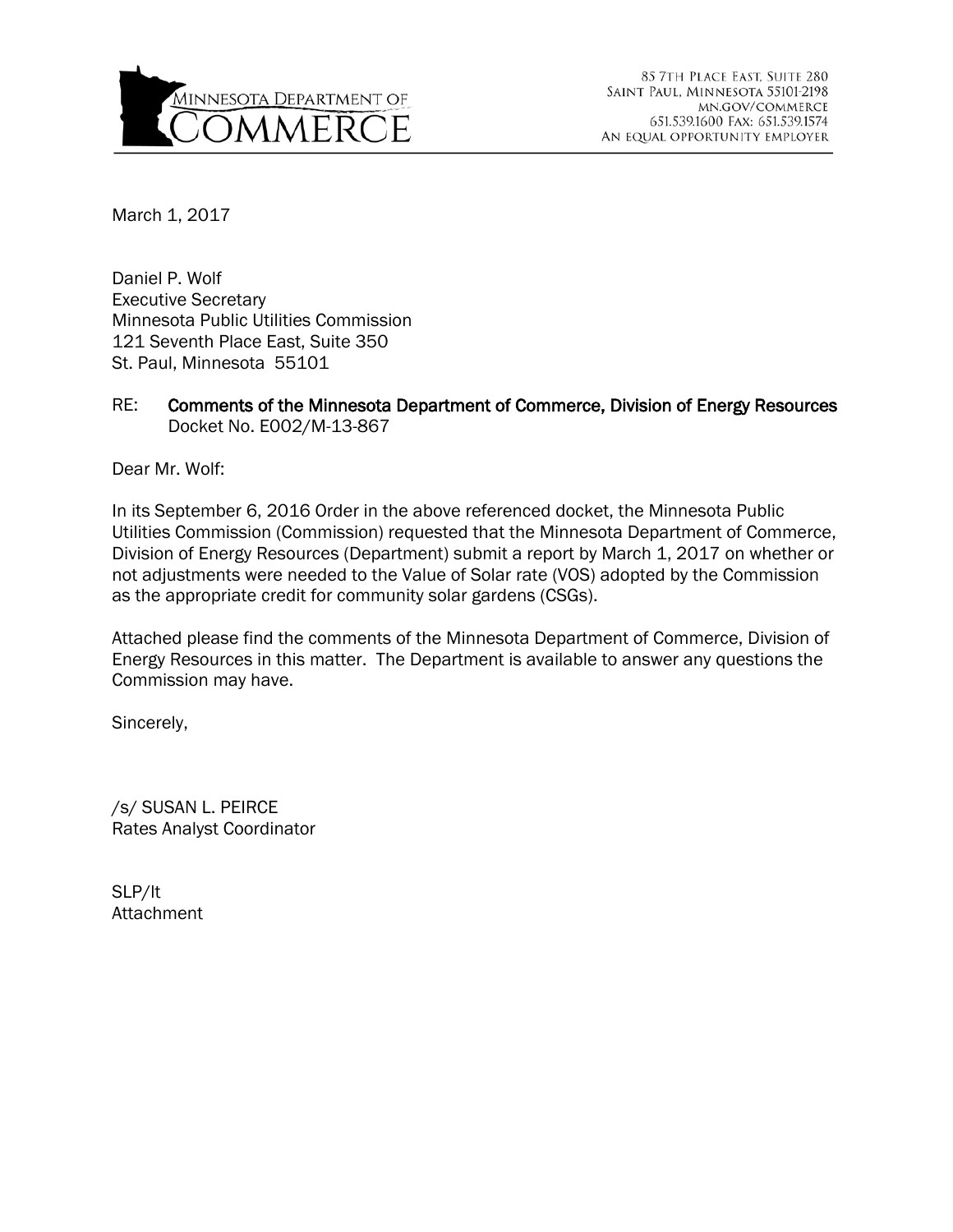

March 1, 2017

Daniel P. Wolf Executive Secretary Minnesota Public Utilities Commission 121 Seventh Place East, Suite 350 St. Paul, Minnesota 55101

#### RE: Comments of the Minnesota Department of Commerce, Division of Energy Resources Docket No. E002/M-13-867

Dear Mr. Wolf:

In its September 6, 2016 Order in the above referenced docket, the Minnesota Public Utilities Commission (Commission) requested that the Minnesota Department of Commerce, Division of Energy Resources (Department) submit a report by March 1, 2017 on whether or not adjustments were needed to the Value of Solar rate (VOS) adopted by the Commission as the appropriate credit for community solar gardens (CSGs).

Attached please find the comments of the Minnesota Department of Commerce, Division of Energy Resources in this matter. The Department is available to answer any questions the Commission may have.

Sincerely,

/s/ SUSAN L. PEIRCE Rates Analyst Coordinator

SLP/lt Attachment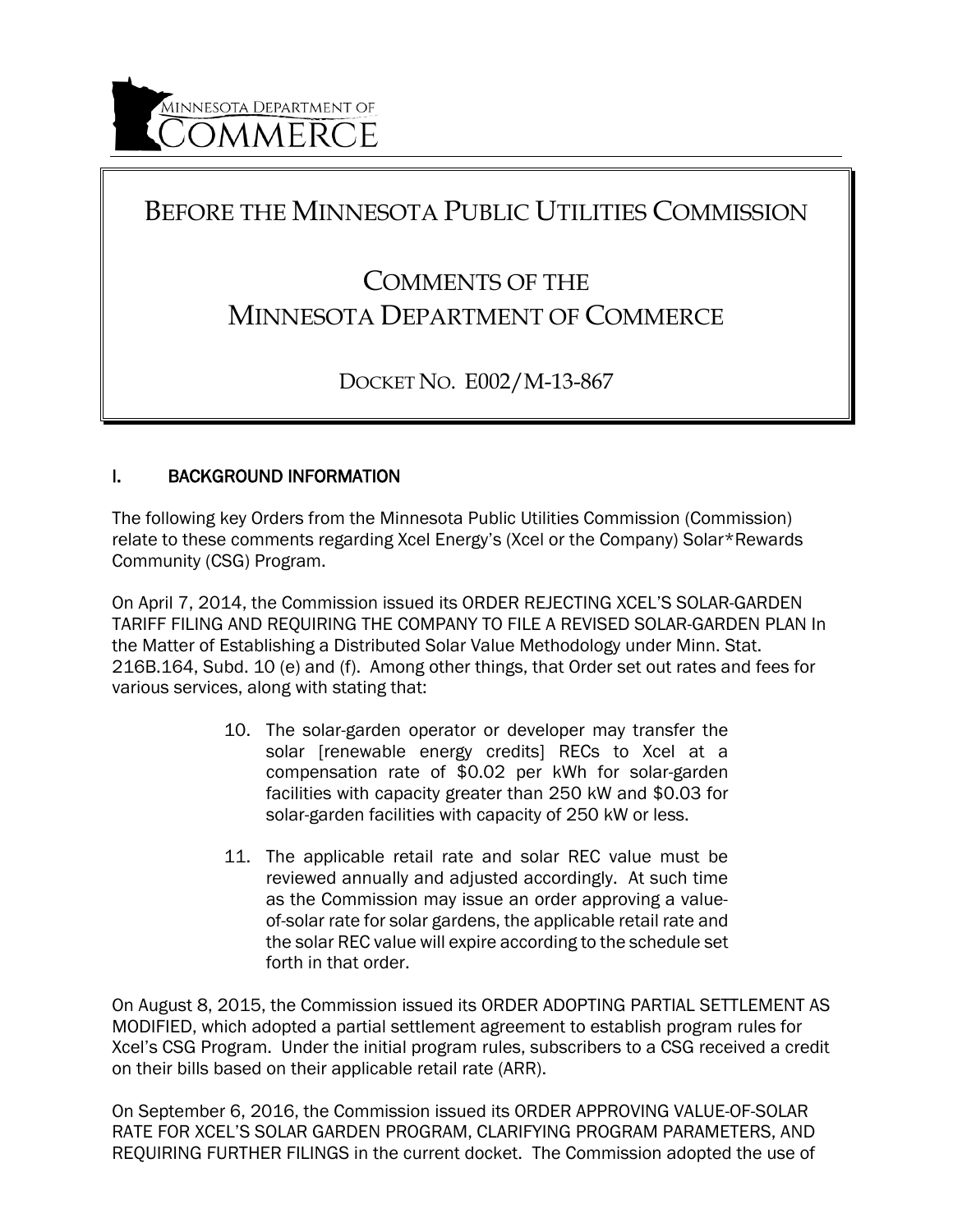# BEFORE THE MINNESOTA PUBLIC UTILITIES COMMISSION

# COMMENTS OF THE MINNESOTA DEPARTMENT OF COMMERCE

DOCKET NO. E002/M-13-867

## I. BACKGROUND INFORMATION

The following key Orders from the Minnesota Public Utilities Commission (Commission) relate to these comments regarding Xcel Energy's (Xcel or the Company) Solar\*Rewards Community (CSG) Program.

On April 7, 2014, the Commission issued its ORDER REJECTING XCEL'S SOLAR-GARDEN TARIFF FILING AND REQUIRING THE COMPANY TO FILE A REVISED SOLAR-GARDEN PLAN In the Matter of Establishing a Distributed Solar Value Methodology under Minn. Stat. 216B.164, Subd. 10 (e) and (f). Among other things, that Order set out rates and fees for various services, along with stating that:

- 10. The solar-garden operator or developer may transfer the solar [renewable energy credits] RECs to Xcel at a compensation rate of \$0.02 per kWh for solar-garden facilities with capacity greater than 250 kW and \$0.03 for solar-garden facilities with capacity of 250 kW or less.
- 11. The applicable retail rate and solar REC value must be reviewed annually and adjusted accordingly. At such time as the Commission may issue an order approving a valueof-solar rate for solar gardens, the applicable retail rate and the solar REC value will expire according to the schedule set forth in that order.

On August 8, 2015, the Commission issued its ORDER ADOPTING PARTIAL SETTLEMENT AS MODIFIED, which adopted a partial settlement agreement to establish program rules for Xcel's CSG Program. Under the initial program rules, subscribers to a CSG received a credit on their bills based on their applicable retail rate (ARR).

On September 6, 2016, the Commission issued its ORDER APPROVING VALUE-OF-SOLAR RATE FOR XCEL'S SOLAR GARDEN PROGRAM, CLARIFYING PROGRAM PARAMETERS, AND REQUIRING FURTHER FILINGS in the current docket. The Commission adopted the use of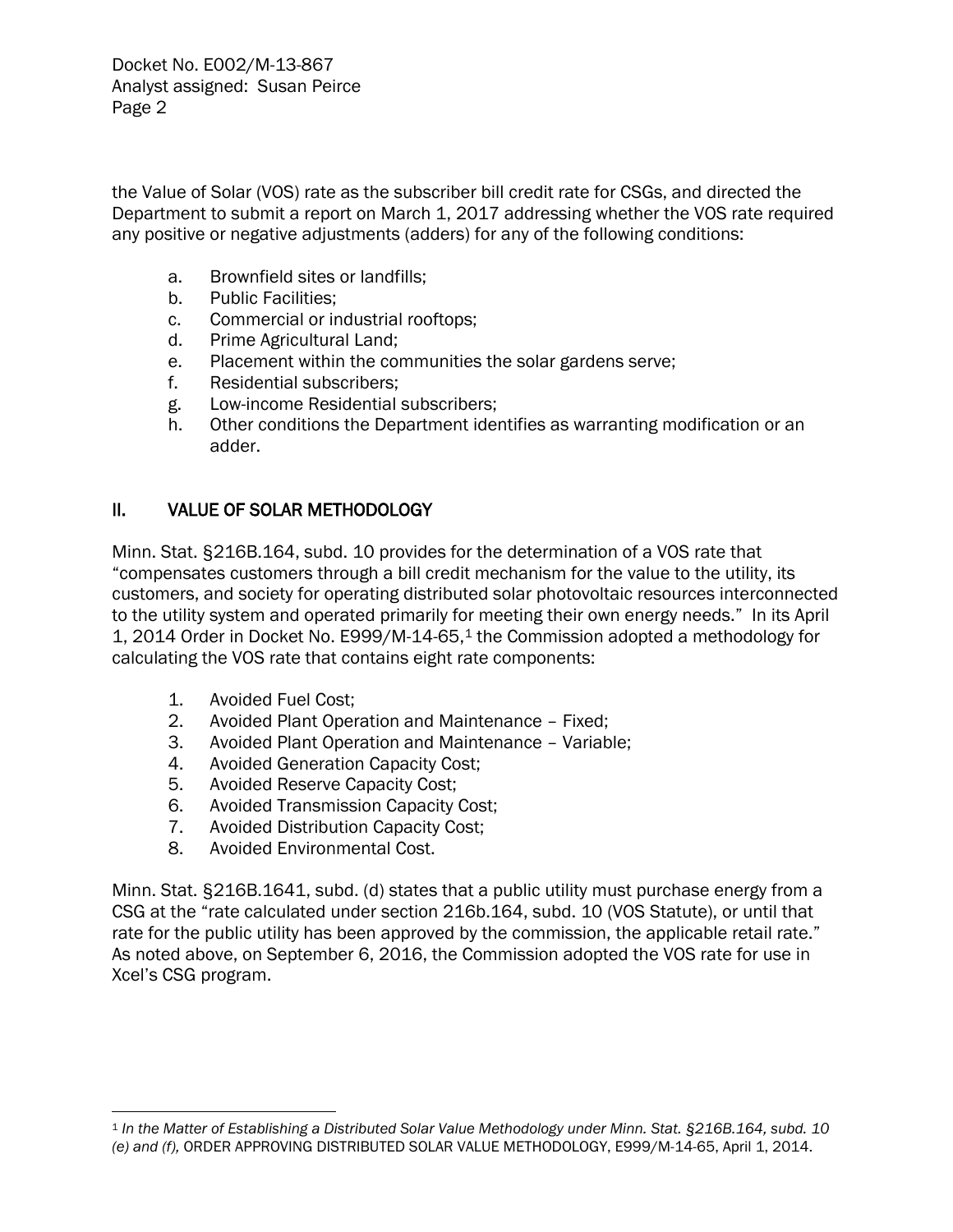the Value of Solar (VOS) rate as the subscriber bill credit rate for CSGs, and directed the Department to submit a report on March 1, 2017 addressing whether the VOS rate required any positive or negative adjustments (adders) for any of the following conditions:

- a. Brownfield sites or landfills;
- b. Public Facilities;
- c. Commercial or industrial rooftops;
- d. Prime Agricultural Land;
- e. Placement within the communities the solar gardens serve;
- f. Residential subscribers;
- g. Low-income Residential subscribers;
- h. Other conditions the Department identifies as warranting modification or an adder.

#### II. VALUE OF SOLAR METHODOLOGY

Minn. Stat. §216B.164, subd. 10 provides for the determination of a VOS rate that "compensates customers through a bill credit mechanism for the value to the utility, its customers, and society for operating distributed solar photovoltaic resources interconnected to the utility system and operated primarily for meeting their own energy needs." In its April 1, 2014 Order in Docket No. E999/M-14-65,[1](#page-2-0) the Commission adopted a methodology for calculating the VOS rate that contains eight rate components:

1. Avoided Fuel Cost;

 $\overline{a}$ 

- 2. Avoided Plant Operation and Maintenance Fixed;
- 3. Avoided Plant Operation and Maintenance Variable;
- 4. Avoided Generation Capacity Cost;
- 5. Avoided Reserve Capacity Cost;
- 6. Avoided Transmission Capacity Cost;
- 7. Avoided Distribution Capacity Cost;
- 8. Avoided Environmental Cost.

Minn. Stat. §216B.1641, subd. (d) states that a public utility must purchase energy from a CSG at the "rate calculated under section 216b.164, subd. 10 (VOS Statute), or until that rate for the public utility has been approved by the commission, the applicable retail rate." As noted above, on September 6, 2016, the Commission adopted the VOS rate for use in Xcel's CSG program.

<span id="page-2-0"></span><sup>1</sup> *In the Matter of Establishing a Distributed Solar Value Methodology under Minn. Stat. §216B.164, subd. 10 (e) and (f),* ORDER APPROVING DISTRIBUTED SOLAR VALUE METHODOLOGY, E999/M-14-65, April 1, 2014.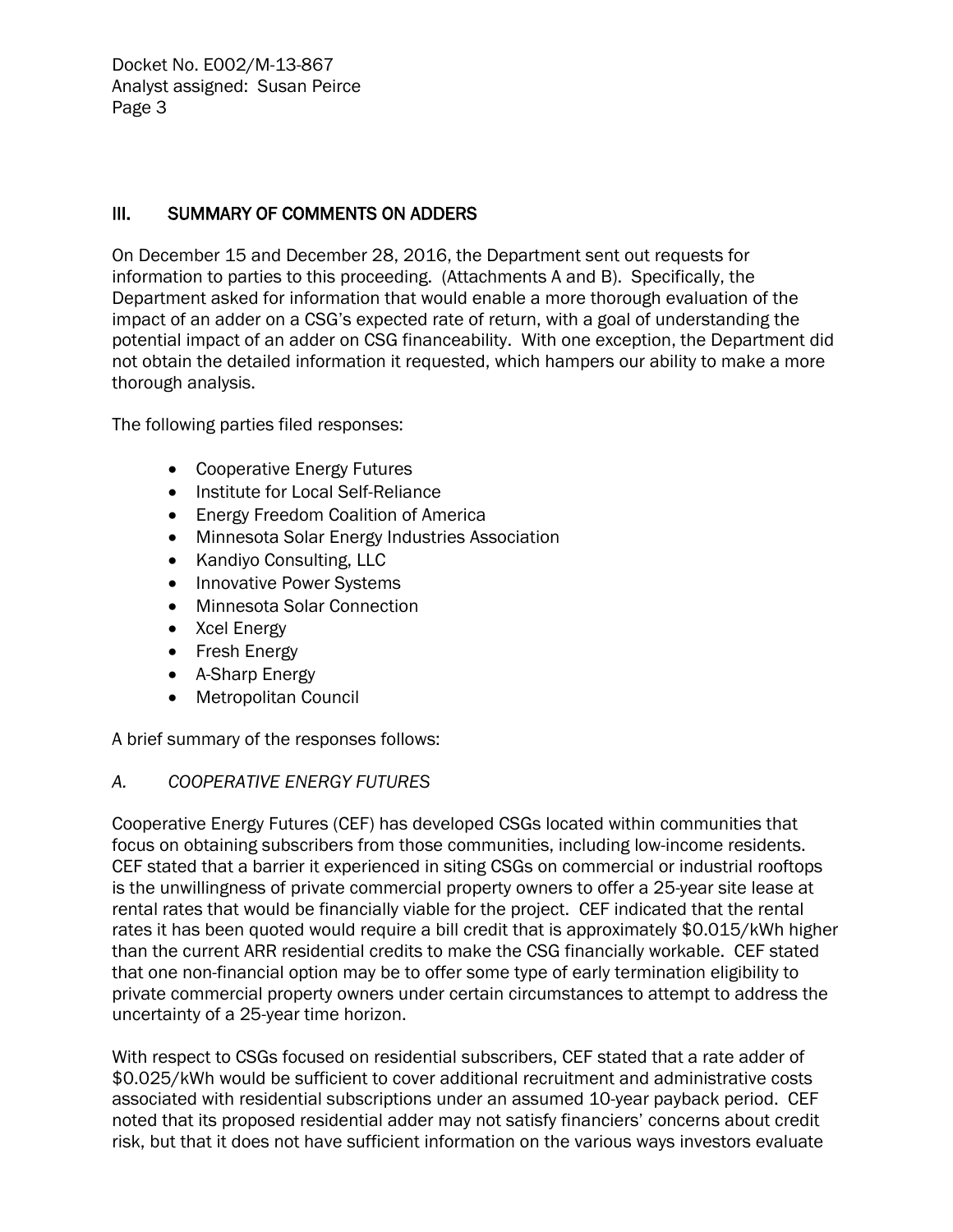#### III. SUMMARY OF COMMENTS ON ADDERS

On December 15 and December 28, 2016, the Department sent out requests for information to parties to this proceeding. (Attachments A and B). Specifically, the Department asked for information that would enable a more thorough evaluation of the impact of an adder on a CSG's expected rate of return, with a goal of understanding the potential impact of an adder on CSG financeability. With one exception, the Department did not obtain the detailed information it requested, which hampers our ability to make a more thorough analysis.

The following parties filed responses:

- Cooperative Energy Futures
- Institute for Local Self-Reliance
- Energy Freedom Coalition of America
- Minnesota Solar Energy Industries Association
- Kandiyo Consulting, LLC
- Innovative Power Systems
- Minnesota Solar Connection
- Xcel Energy
- Fresh Energy
- A-Sharp Energy
- Metropolitan Council

A brief summary of the responses follows:

#### *A. COOPERATIVE ENERGY FUTURES*

Cooperative Energy Futures (CEF) has developed CSGs located within communities that focus on obtaining subscribers from those communities, including low-income residents. CEF stated that a barrier it experienced in siting CSGs on commercial or industrial rooftops is the unwillingness of private commercial property owners to offer a 25-year site lease at rental rates that would be financially viable for the project. CEF indicated that the rental rates it has been quoted would require a bill credit that is approximately \$0.015/kWh higher than the current ARR residential credits to make the CSG financially workable. CEF stated that one non-financial option may be to offer some type of early termination eligibility to private commercial property owners under certain circumstances to attempt to address the uncertainty of a 25-year time horizon.

With respect to CSGs focused on residential subscribers, CEF stated that a rate adder of \$0.025/kWh would be sufficient to cover additional recruitment and administrative costs associated with residential subscriptions under an assumed 10-year payback period. CEF noted that its proposed residential adder may not satisfy financiers' concerns about credit risk, but that it does not have sufficient information on the various ways investors evaluate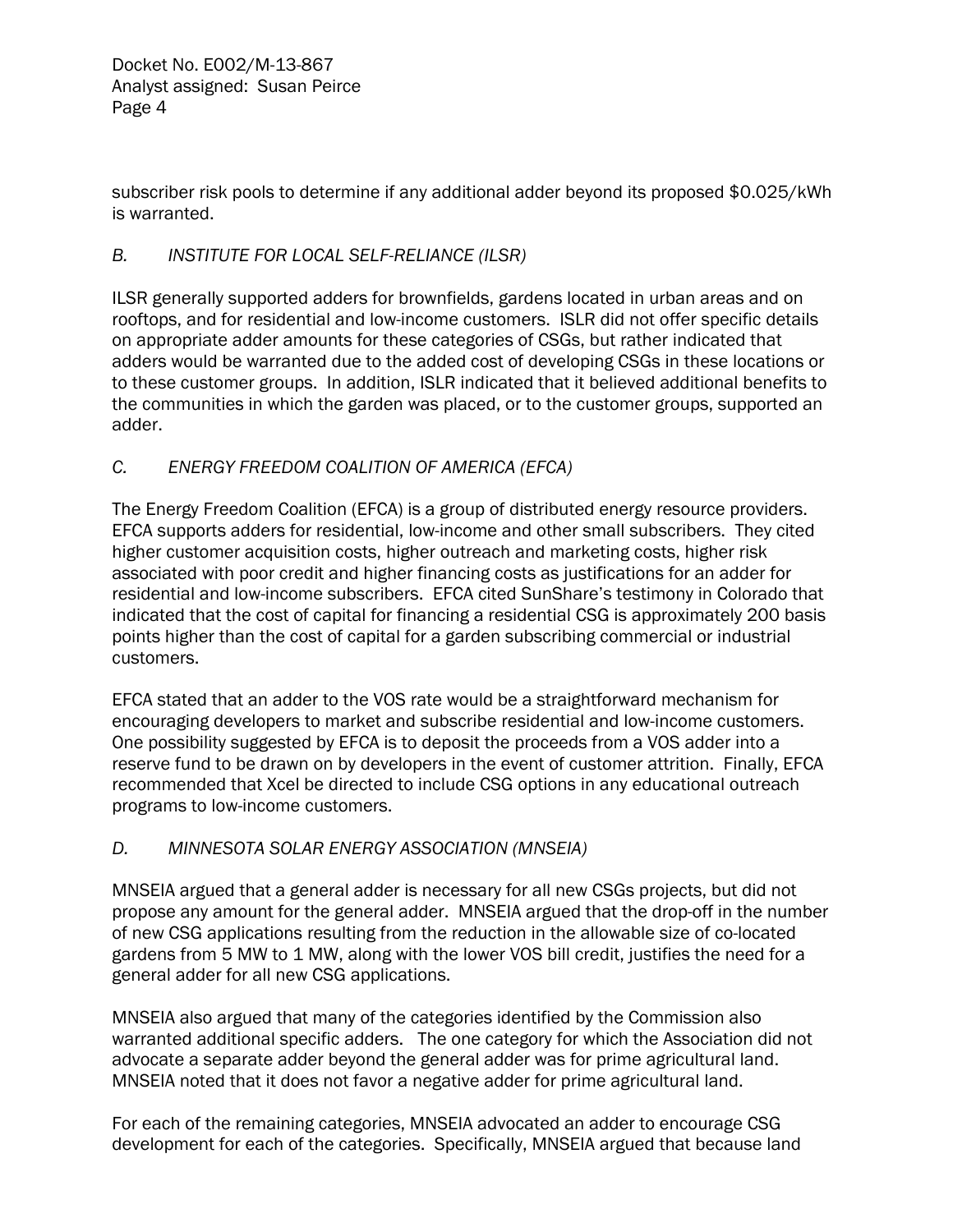subscriber risk pools to determine if any additional adder beyond its proposed \$0.025/kWh is warranted.

#### *B. INSTITUTE FOR LOCAL SELF-RELIANCE (ILSR)*

ILSR generally supported adders for brownfields, gardens located in urban areas and on rooftops, and for residential and low-income customers. ISLR did not offer specific details on appropriate adder amounts for these categories of CSGs, but rather indicated that adders would be warranted due to the added cost of developing CSGs in these locations or to these customer groups. In addition, ISLR indicated that it believed additional benefits to the communities in which the garden was placed, or to the customer groups, supported an adder.

### *C. ENERGY FREEDOM COALITION OF AMERICA (EFCA)*

The Energy Freedom Coalition (EFCA) is a group of distributed energy resource providers. EFCA supports adders for residential, low-income and other small subscribers. They cited higher customer acquisition costs, higher outreach and marketing costs, higher risk associated with poor credit and higher financing costs as justifications for an adder for residential and low-income subscribers. EFCA cited SunShare's testimony in Colorado that indicated that the cost of capital for financing a residential CSG is approximately 200 basis points higher than the cost of capital for a garden subscribing commercial or industrial customers.

EFCA stated that an adder to the VOS rate would be a straightforward mechanism for encouraging developers to market and subscribe residential and low-income customers. One possibility suggested by EFCA is to deposit the proceeds from a VOS adder into a reserve fund to be drawn on by developers in the event of customer attrition. Finally, EFCA recommended that Xcel be directed to include CSG options in any educational outreach programs to low-income customers.

#### *D. MINNESOTA SOLAR ENERGY ASSOCIATION (MNSEIA)*

MNSEIA argued that a general adder is necessary for all new CSGs projects, but did not propose any amount for the general adder. MNSEIA argued that the drop-off in the number of new CSG applications resulting from the reduction in the allowable size of co-located gardens from 5 MW to 1 MW, along with the lower VOS bill credit, justifies the need for a general adder for all new CSG applications.

MNSEIA also argued that many of the categories identified by the Commission also warranted additional specific adders. The one category for which the Association did not advocate a separate adder beyond the general adder was for prime agricultural land. MNSEIA noted that it does not favor a negative adder for prime agricultural land.

For each of the remaining categories, MNSEIA advocated an adder to encourage CSG development for each of the categories. Specifically, MNSEIA argued that because land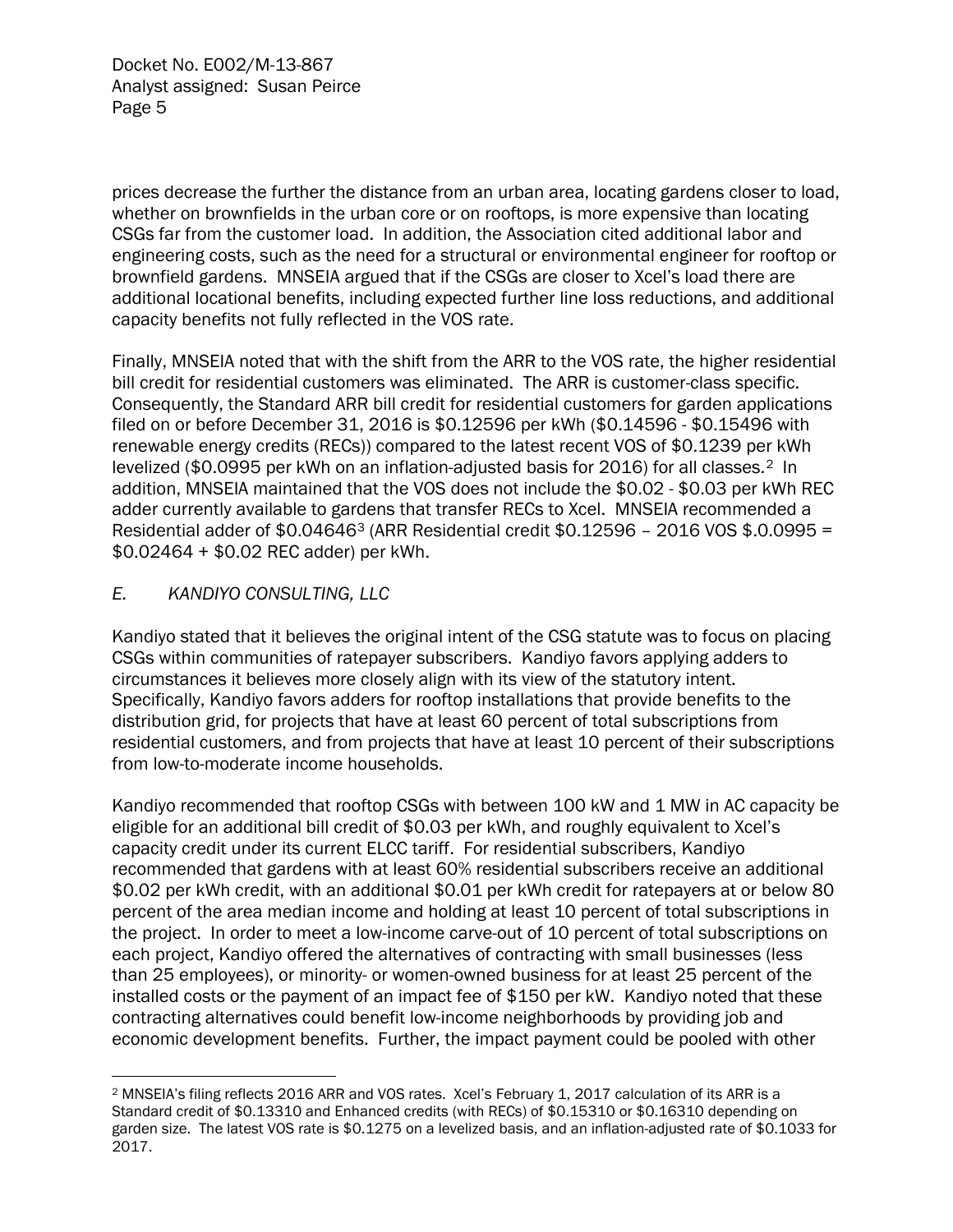prices decrease the further the distance from an urban area, locating gardens closer to load, whether on brownfields in the urban core or on rooftops, is more expensive than locating CSGs far from the customer load. In addition, the Association cited additional labor and engineering costs, such as the need for a structural or environmental engineer for rooftop or brownfield gardens. MNSEIA argued that if the CSGs are closer to Xcel's load there are additional locational benefits, including expected further line loss reductions, and additional capacity benefits not fully reflected in the VOS rate.

Finally, MNSEIA noted that with the shift from the ARR to the VOS rate, the higher residential bill credit for residential customers was eliminated. The ARR is customer-class specific. Consequently, the Standard ARR bill credit for residential customers for garden applications filed on or before December 31, 2016 is \$0.12596 per kWh (\$0.14596 - \$0.15496 with renewable energy credits (RECs)) compared to the latest recent VOS of \$0.1239 per kWh levelized (\$0.0995 per kWh on an inflation-adjusted basis for 2016) for all classes.[2](#page-5-0) In addition, MNSEIA maintained that the VOS does not include the \$0.02 - \$0.03 per kWh REC adder currently available to gardens that transfer RECs to Xcel. MNSEIA recommended a Residential adder of \$0.04646[3](#page-5-1) (ARR Residential credit \$0.12596 – 2016 VOS \$.0.0995 = \$0.02464 + \$0.02 REC adder) per kWh.

#### *E. KANDIYO CONSULTING, LLC*

Kandiyo stated that it believes the original intent of the CSG statute was to focus on placing CSGs within communities of ratepayer subscribers. Kandiyo favors applying adders to circumstances it believes more closely align with its view of the statutory intent. Specifically, Kandiyo favors adders for rooftop installations that provide benefits to the distribution grid, for projects that have at least 60 percent of total subscriptions from residential customers, and from projects that have at least 10 percent of their subscriptions from low-to-moderate income households.

Kandiyo recommended that rooftop CSGs with between 100 kW and 1 MW in AC capacity be eligible for an additional bill credit of \$0.03 per kWh, and roughly equivalent to Xcel's capacity credit under its current ELCC tariff. For residential subscribers, Kandiyo recommended that gardens with at least 60% residential subscribers receive an additional \$0.02 per kWh credit, with an additional \$0.01 per kWh credit for ratepayers at or below 80 percent of the area median income and holding at least 10 percent of total subscriptions in the project. In order to meet a low-income carve-out of 10 percent of total subscriptions on each project, Kandiyo offered the alternatives of contracting with small businesses (less than 25 employees), or minority- or women-owned business for at least 25 percent of the installed costs or the payment of an impact fee of \$150 per kW. Kandiyo noted that these contracting alternatives could benefit low-income neighborhoods by providing job and economic development benefits. Further, the impact payment could be pooled with other

<span id="page-5-1"></span><span id="page-5-0"></span> $\overline{a}$ <sup>2</sup> MNSEIA's filing reflects 2016 ARR and VOS rates. Xcel's February 1, 2017 calculation of its ARR is a Standard credit of \$0.13310 and Enhanced credits (with RECs) of \$0.15310 or \$0.16310 depending on garden size. The latest VOS rate is \$0.1275 on a levelized basis, and an inflation-adjusted rate of \$0.1033 for 2017.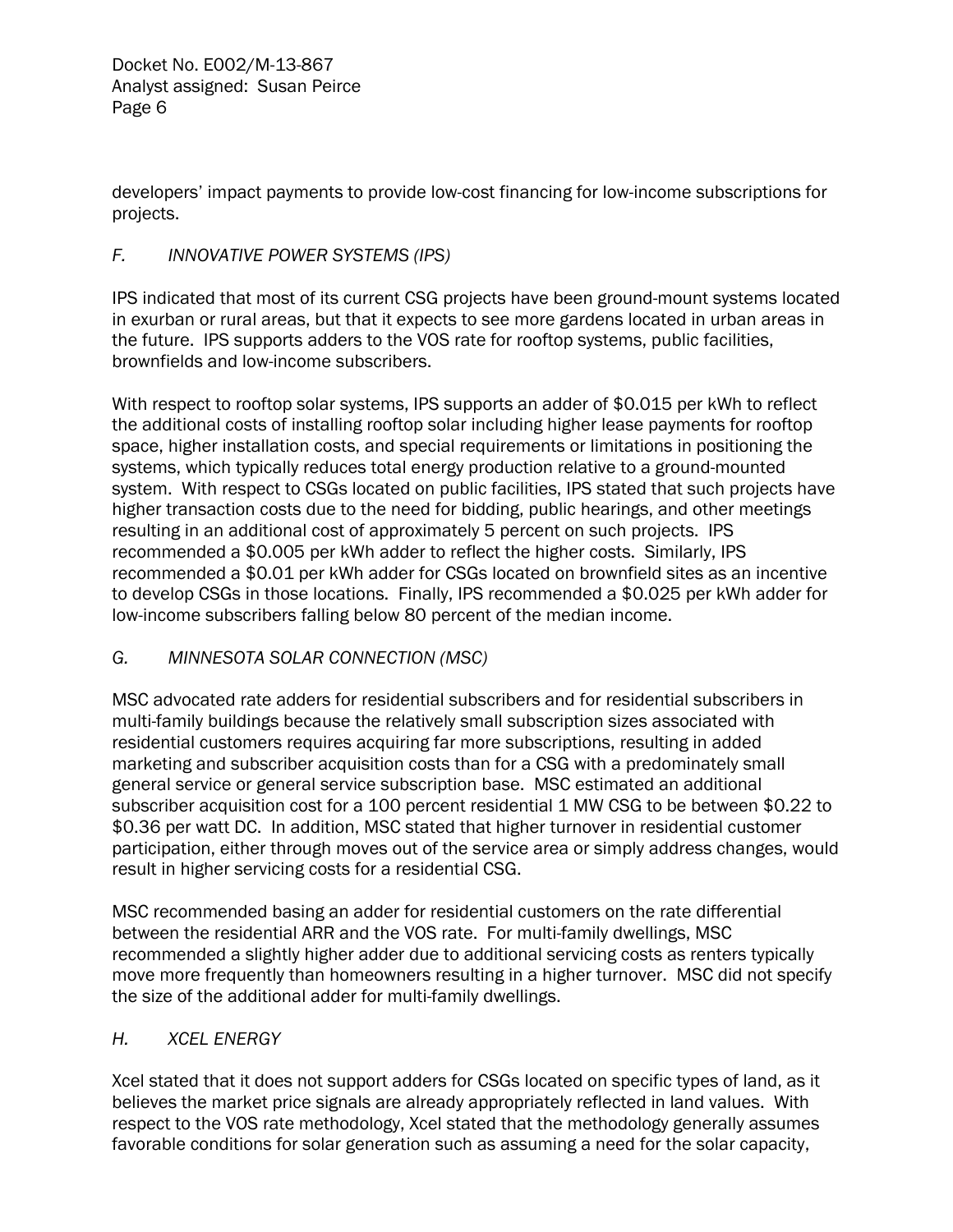developers' impact payments to provide low-cost financing for low-income subscriptions for projects.

#### *F. INNOVATIVE POWER SYSTEMS (IPS)*

IPS indicated that most of its current CSG projects have been ground-mount systems located in exurban or rural areas, but that it expects to see more gardens located in urban areas in the future. IPS supports adders to the VOS rate for rooftop systems, public facilities, brownfields and low-income subscribers.

With respect to rooftop solar systems, IPS supports an adder of \$0.015 per kWh to reflect the additional costs of installing rooftop solar including higher lease payments for rooftop space, higher installation costs, and special requirements or limitations in positioning the systems, which typically reduces total energy production relative to a ground-mounted system. With respect to CSGs located on public facilities, IPS stated that such projects have higher transaction costs due to the need for bidding, public hearings, and other meetings resulting in an additional cost of approximately 5 percent on such projects. IPS recommended a \$0.005 per kWh adder to reflect the higher costs. Similarly, IPS recommended a \$0.01 per kWh adder for CSGs located on brownfield sites as an incentive to develop CSGs in those locations. Finally, IPS recommended a \$0.025 per kWh adder for low-income subscribers falling below 80 percent of the median income.

### *G. MINNESOTA SOLAR CONNECTION (MSC)*

MSC advocated rate adders for residential subscribers and for residential subscribers in multi-family buildings because the relatively small subscription sizes associated with residential customers requires acquiring far more subscriptions, resulting in added marketing and subscriber acquisition costs than for a CSG with a predominately small general service or general service subscription base. MSC estimated an additional subscriber acquisition cost for a 100 percent residential 1 MW CSG to be between \$0.22 to \$0.36 per watt DC. In addition, MSC stated that higher turnover in residential customer participation, either through moves out of the service area or simply address changes, would result in higher servicing costs for a residential CSG.

MSC recommended basing an adder for residential customers on the rate differential between the residential ARR and the VOS rate. For multi-family dwellings, MSC recommended a slightly higher adder due to additional servicing costs as renters typically move more frequently than homeowners resulting in a higher turnover. MSC did not specify the size of the additional adder for multi-family dwellings.

### *H. XCEL ENERGY*

Xcel stated that it does not support adders for CSGs located on specific types of land, as it believes the market price signals are already appropriately reflected in land values. With respect to the VOS rate methodology, Xcel stated that the methodology generally assumes favorable conditions for solar generation such as assuming a need for the solar capacity,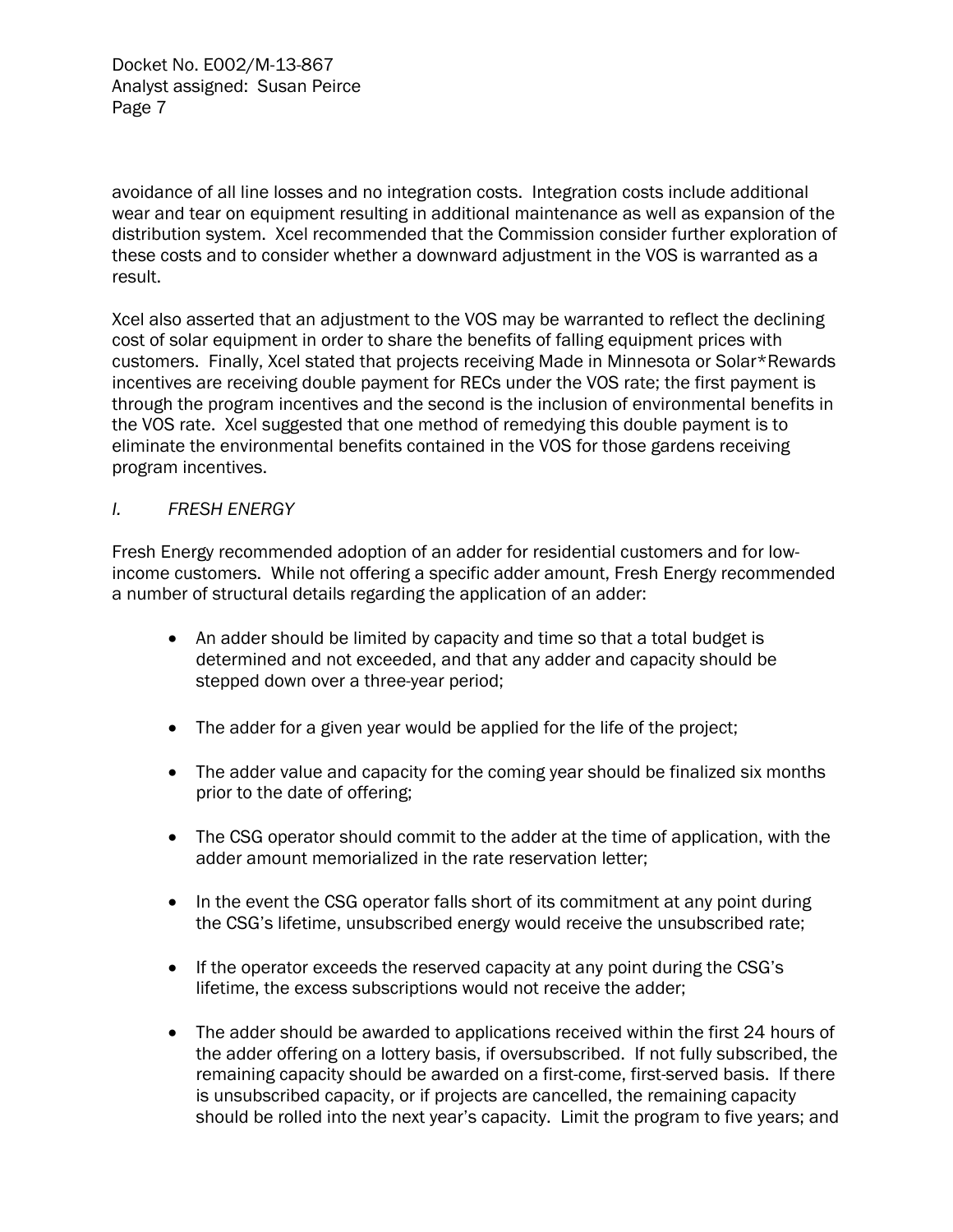avoidance of all line losses and no integration costs. Integration costs include additional wear and tear on equipment resulting in additional maintenance as well as expansion of the distribution system. Xcel recommended that the Commission consider further exploration of these costs and to consider whether a downward adjustment in the VOS is warranted as a result.

Xcel also asserted that an adjustment to the VOS may be warranted to reflect the declining cost of solar equipment in order to share the benefits of falling equipment prices with customers. Finally, Xcel stated that projects receiving Made in Minnesota or Solar\*Rewards incentives are receiving double payment for RECs under the VOS rate; the first payment is through the program incentives and the second is the inclusion of environmental benefits in the VOS rate. Xcel suggested that one method of remedying this double payment is to eliminate the environmental benefits contained in the VOS for those gardens receiving program incentives.

#### *I. FRESH ENERGY*

Fresh Energy recommended adoption of an adder for residential customers and for lowincome customers. While not offering a specific adder amount, Fresh Energy recommended a number of structural details regarding the application of an adder:

- An adder should be limited by capacity and time so that a total budget is determined and not exceeded, and that any adder and capacity should be stepped down over a three-year period;
- The adder for a given year would be applied for the life of the project;
- The adder value and capacity for the coming year should be finalized six months prior to the date of offering;
- The CSG operator should commit to the adder at the time of application, with the adder amount memorialized in the rate reservation letter;
- In the event the CSG operator falls short of its commitment at any point during the CSG's lifetime, unsubscribed energy would receive the unsubscribed rate;
- If the operator exceeds the reserved capacity at any point during the CSG's lifetime, the excess subscriptions would not receive the adder;
- The adder should be awarded to applications received within the first 24 hours of the adder offering on a lottery basis, if oversubscribed. If not fully subscribed, the remaining capacity should be awarded on a first-come, first-served basis. If there is unsubscribed capacity, or if projects are cancelled, the remaining capacity should be rolled into the next year's capacity. Limit the program to five years; and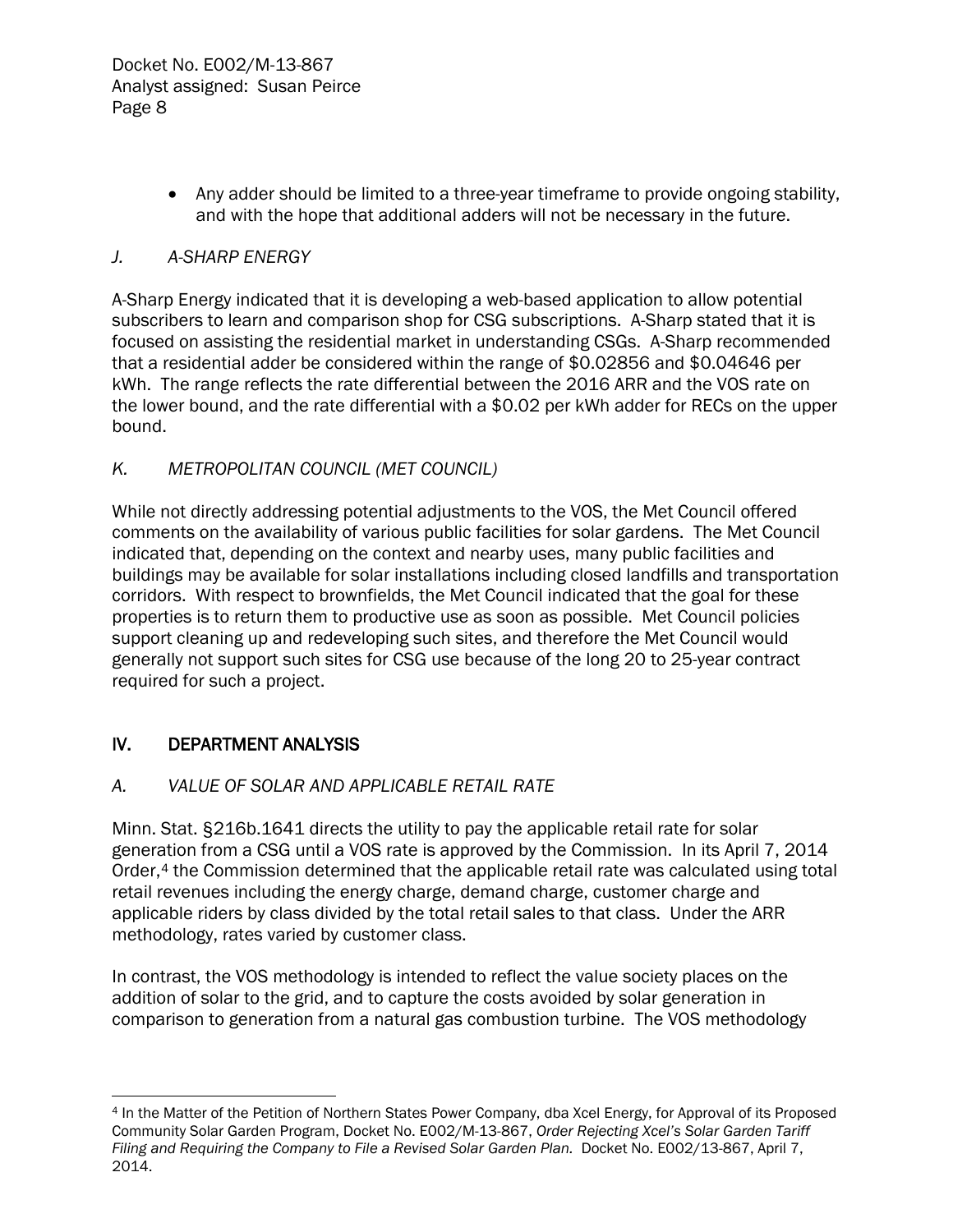• Any adder should be limited to a three-year timeframe to provide ongoing stability, and with the hope that additional adders will not be necessary in the future.

#### *J. A-SHARP ENERGY*

A-Sharp Energy indicated that it is developing a web-based application to allow potential subscribers to learn and comparison shop for CSG subscriptions. A-Sharp stated that it is focused on assisting the residential market in understanding CSGs. A-Sharp recommended that a residential adder be considered within the range of \$0.02856 and \$0.04646 per kWh. The range reflects the rate differential between the 2016 ARR and the VOS rate on the lower bound, and the rate differential with a \$0.02 per kWh adder for RECs on the upper bound.

#### *K. METROPOLITAN COUNCIL (MET COUNCIL)*

While not directly addressing potential adjustments to the VOS, the Met Council offered comments on the availability of various public facilities for solar gardens. The Met Council indicated that, depending on the context and nearby uses, many public facilities and buildings may be available for solar installations including closed landfills and transportation corridors. With respect to brownfields, the Met Council indicated that the goal for these properties is to return them to productive use as soon as possible. Met Council policies support cleaning up and redeveloping such sites, and therefore the Met Council would generally not support such sites for CSG use because of the long 20 to 25-year contract required for such a project.

### IV. DEPARTMENT ANALYSIS

### *A. VALUE OF SOLAR AND APPLICABLE RETAIL RATE*

Minn. Stat. §216b.1641 directs the utility to pay the applicable retail rate for solar generation from a CSG until a VOS rate is approved by the Commission. In its April 7, 2014 Order,<sup>[4](#page-8-0)</sup> the Commission determined that the applicable retail rate was calculated using total retail revenues including the energy charge, demand charge, customer charge and applicable riders by class divided by the total retail sales to that class. Under the ARR methodology, rates varied by customer class.

In contrast, the VOS methodology is intended to reflect the value society places on the addition of solar to the grid, and to capture the costs avoided by solar generation in comparison to generation from a natural gas combustion turbine. The VOS methodology

<span id="page-8-0"></span> $\overline{a}$ <sup>4</sup> In the Matter of the Petition of Northern States Power Company, dba Xcel Energy, for Approval of its Proposed Community Solar Garden Program, Docket No. E002/M-13-867, *Order Rejecting Xcel's Solar Garden Tariff Filing and Requiring the Company to File a Revised Solar Garden Plan.* Docket No. E002/13-867, April 7, 2014.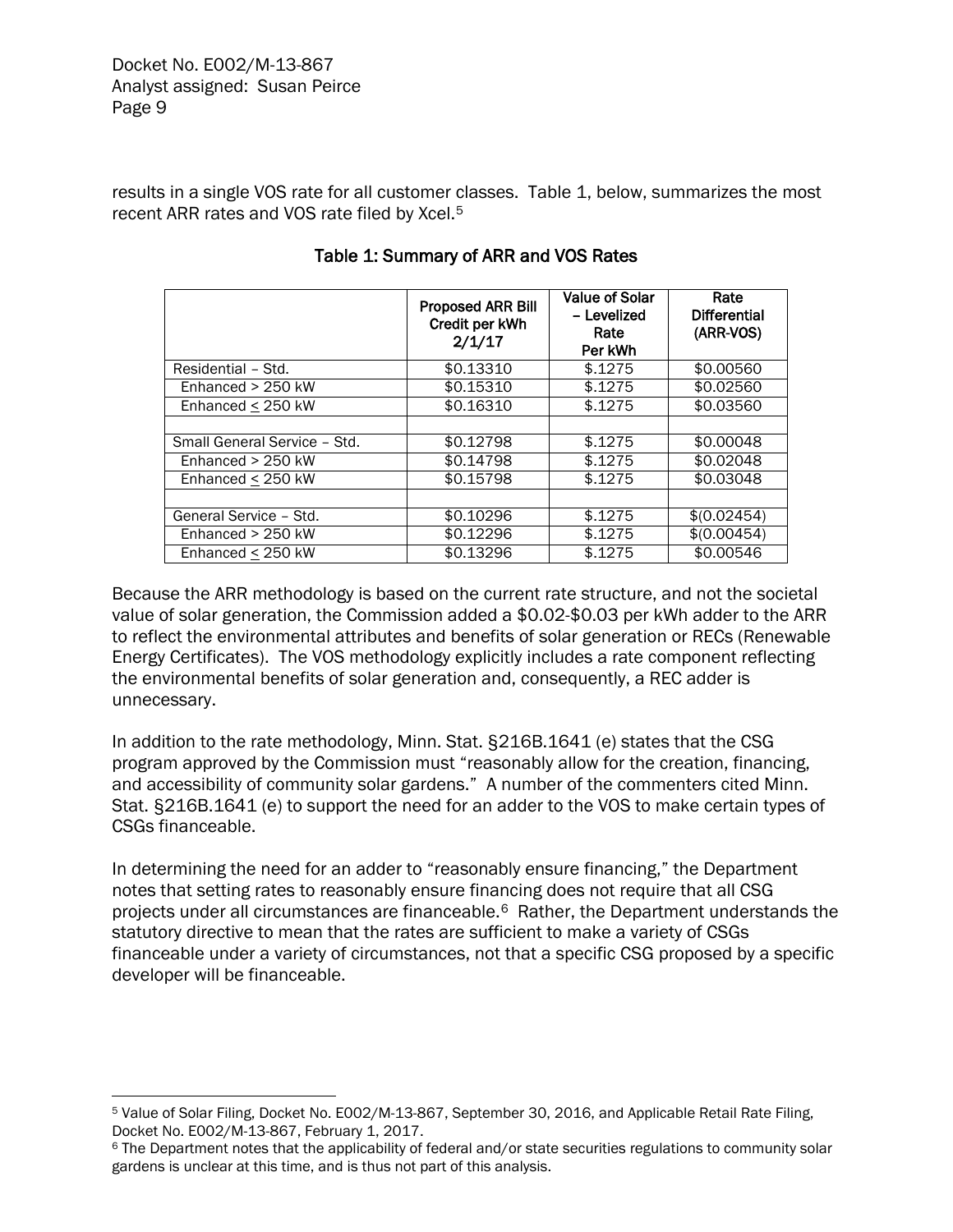results in a single VOS rate for all customer classes. Table 1, below, summarizes the most recent ARR rates and VOS rate filed by Xcel.<sup>[5](#page-9-0)</sup>

|                              | <b>Proposed ARR Bill</b><br>Credit per kWh<br>2/1/17 |         | Rate<br><b>Differential</b><br>(ARR-VOS) |
|------------------------------|------------------------------------------------------|---------|------------------------------------------|
| Residential - Std.           | \$0.13310                                            | \$.1275 | \$0.00560                                |
| Enhanced $> 250$ kW          | \$0.15310                                            | \$.1275 | \$0.02560                                |
| Enhanced $<$ 250 kW          | \$0.16310                                            | \$.1275 | \$0.03560                                |
|                              |                                                      |         |                                          |
| Small General Service - Std. | \$0.12798                                            | \$.1275 | \$0.00048                                |
| Enhanced $> 250$ kW          | \$0.14798                                            | \$.1275 | \$0.02048                                |
| Enhanced $<$ 250 kW          | \$0.15798                                            | \$.1275 | \$0.03048                                |
|                              |                                                      |         |                                          |
| General Service - Std.       | \$0.10296                                            | \$.1275 | \$ (0.02454)                             |
| Enhanced $> 250$ kW          | \$0.12296                                            | \$.1275 | \$(0.00454)                              |
| Enhanced $\leq$ 250 kW       | \$0.13296                                            | \$.1275 | \$0.00546                                |

## Table 1: Summary of ARR and VOS Rates

Because the ARR methodology is based on the current rate structure, and not the societal value of solar generation, the Commission added a \$0.02-\$0.03 per kWh adder to the ARR to reflect the environmental attributes and benefits of solar generation or RECs (Renewable Energy Certificates). The VOS methodology explicitly includes a rate component reflecting the environmental benefits of solar generation and, consequently, a REC adder is unnecessary.

In addition to the rate methodology, Minn. Stat. §216B.1641 (e) states that the CSG program approved by the Commission must "reasonably allow for the creation, financing, and accessibility of community solar gardens." A number of the commenters cited Minn. Stat. §216B.1641 (e) to support the need for an adder to the VOS to make certain types of CSGs financeable.

In determining the need for an adder to "reasonably ensure financing," the Department notes that setting rates to reasonably ensure financing does not require that all CSG projects under all circumstances are financeable.[6](#page-9-1) Rather, the Department understands the statutory directive to mean that the rates are sufficient to make a variety of CSGs financeable under a variety of circumstances, not that a specific CSG proposed by a specific developer will be financeable.

<span id="page-9-0"></span> $\overline{a}$ <sup>5</sup> Value of Solar Filing, Docket No. E002/M-13-867, September 30, 2016, and Applicable Retail Rate Filing, Docket No. E002/M-13-867, February 1, 2017.

<span id="page-9-1"></span><sup>&</sup>lt;sup>6</sup> The Department notes that the applicability of federal and/or state securities regulations to community solar gardens is unclear at this time, and is thus not part of this analysis.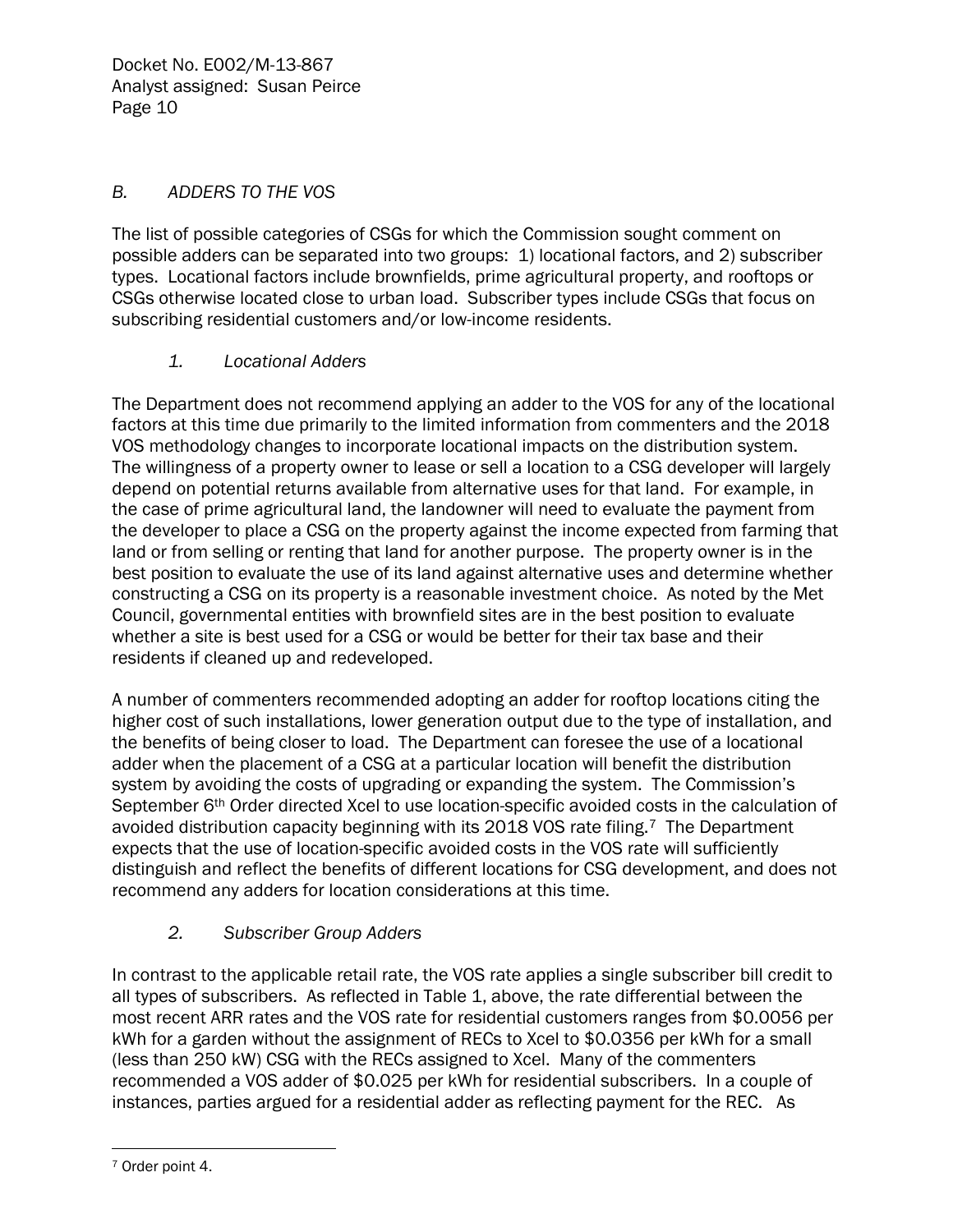#### *B. ADDERS TO THE VOS*

The list of possible categories of CSGs for which the Commission sought comment on possible adders can be separated into two groups: 1) locational factors, and 2) subscriber types. Locational factors include brownfields, prime agricultural property, and rooftops or CSGs otherwise located close to urban load. Subscriber types include CSGs that focus on subscribing residential customers and/or low-income residents.

#### *1. Locational Adders*

The Department does not recommend applying an adder to the VOS for any of the locational factors at this time due primarily to the limited information from commenters and the 2018 VOS methodology changes to incorporate locational impacts on the distribution system. The willingness of a property owner to lease or sell a location to a CSG developer will largely depend on potential returns available from alternative uses for that land. For example, in the case of prime agricultural land, the landowner will need to evaluate the payment from the developer to place a CSG on the property against the income expected from farming that land or from selling or renting that land for another purpose. The property owner is in the best position to evaluate the use of its land against alternative uses and determine whether constructing a CSG on its property is a reasonable investment choice. As noted by the Met Council, governmental entities with brownfield sites are in the best position to evaluate whether a site is best used for a CSG or would be better for their tax base and their residents if cleaned up and redeveloped.

A number of commenters recommended adopting an adder for rooftop locations citing the higher cost of such installations, lower generation output due to the type of installation, and the benefits of being closer to load. The Department can foresee the use of a locational adder when the placement of a CSG at a particular location will benefit the distribution system by avoiding the costs of upgrading or expanding the system. The Commission's September 6<sup>th</sup> Order directed Xcel to use location-specific avoided costs in the calculation of avoided distribution capacity beginning with its 2018 VOS rate filing.[7](#page-10-0) The Department expects that the use of location-specific avoided costs in the VOS rate will sufficiently distinguish and reflect the benefits of different locations for CSG development, and does not recommend any adders for location considerations at this time.

### *2. Subscriber Group Adders*

In contrast to the applicable retail rate, the VOS rate applies a single subscriber bill credit to all types of subscribers. As reflected in Table 1, above, the rate differential between the most recent ARR rates and the VOS rate for residential customers ranges from \$0.0056 per kWh for a garden without the assignment of RECs to Xcel to \$0.0356 per kWh for a small (less than 250 kW) CSG with the RECs assigned to Xcel. Many of the commenters recommended a VOS adder of \$0.025 per kWh for residential subscribers. In a couple of instances, parties argued for a residential adder as reflecting payment for the REC. As

<span id="page-10-0"></span> $\overline{a}$ <sup>7</sup> Order point 4.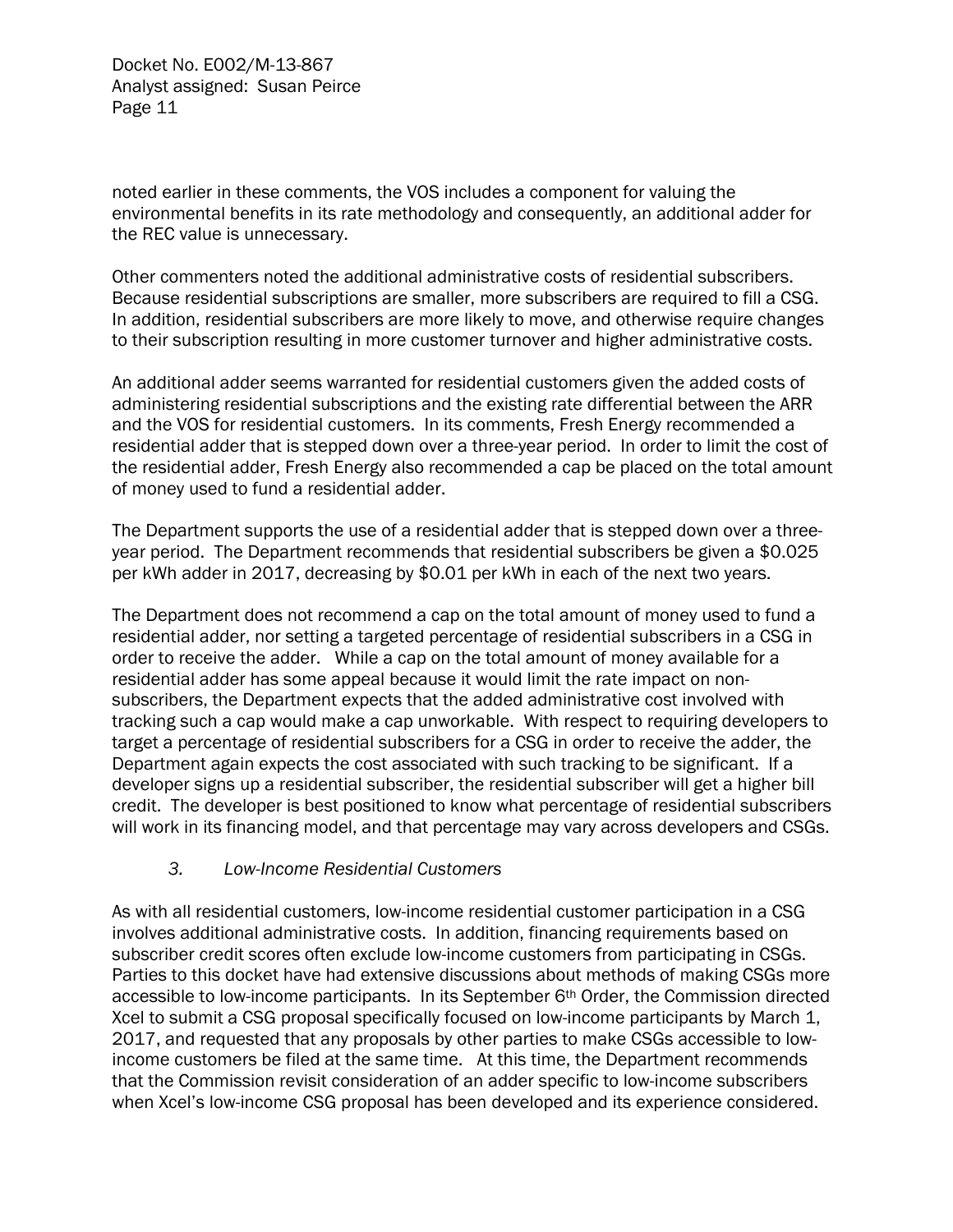noted earlier in these comments, the VOS includes a component for valuing the environmental benefits in its rate methodology and consequently, an additional adder for the REC value is unnecessary.

Other commenters noted the additional administrative costs of residential subscribers. Because residential subscriptions are smaller, more subscribers are required to fill a CSG. In addition, residential subscribers are more likely to move, and otherwise require changes to their subscription resulting in more customer turnover and higher administrative costs.

An additional adder seems warranted for residential customers given the added costs of administering residential subscriptions and the existing rate differential between the ARR and the VOS for residential customers. In its comments, Fresh Energy recommended a residential adder that is stepped down over a three-year period. In order to limit the cost of the residential adder, Fresh Energy also recommended a cap be placed on the total amount of money used to fund a residential adder.

The Department supports the use of a residential adder that is stepped down over a threeyear period. The Department recommends that residential subscribers be given a \$0.025 per kWh adder in 2017, decreasing by \$0.01 per kWh in each of the next two years.

The Department does not recommend a cap on the total amount of money used to fund a residential adder, nor setting a targeted percentage of residential subscribers in a CSG in order to receive the adder. While a cap on the total amount of money available for a residential adder has some appeal because it would limit the rate impact on nonsubscribers, the Department expects that the added administrative cost involved with tracking such a cap would make a cap unworkable. With respect to requiring developers to target a percentage of residential subscribers for a CSG in order to receive the adder, the Department again expects the cost associated with such tracking to be significant. If a developer signs up a residential subscriber, the residential subscriber will get a higher bill credit. The developer is best positioned to know what percentage of residential subscribers will work in its financing model, and that percentage may vary across developers and CSGs.

#### *3. Low-Income Residential Customers*

As with all residential customers, low-income residential customer participation in a CSG involves additional administrative costs. In addition, financing requirements based on subscriber credit scores often exclude low-income customers from participating in CSGs. Parties to this docket have had extensive discussions about methods of making CSGs more accessible to low-income participants. In its September 6th Order, the Commission directed Xcel to submit a CSG proposal specifically focused on low-income participants by March 1, 2017, and requested that any proposals by other parties to make CSGs accessible to lowincome customers be filed at the same time. At this time, the Department recommends that the Commission revisit consideration of an adder specific to low-income subscribers when Xcel's low-income CSG proposal has been developed and its experience considered.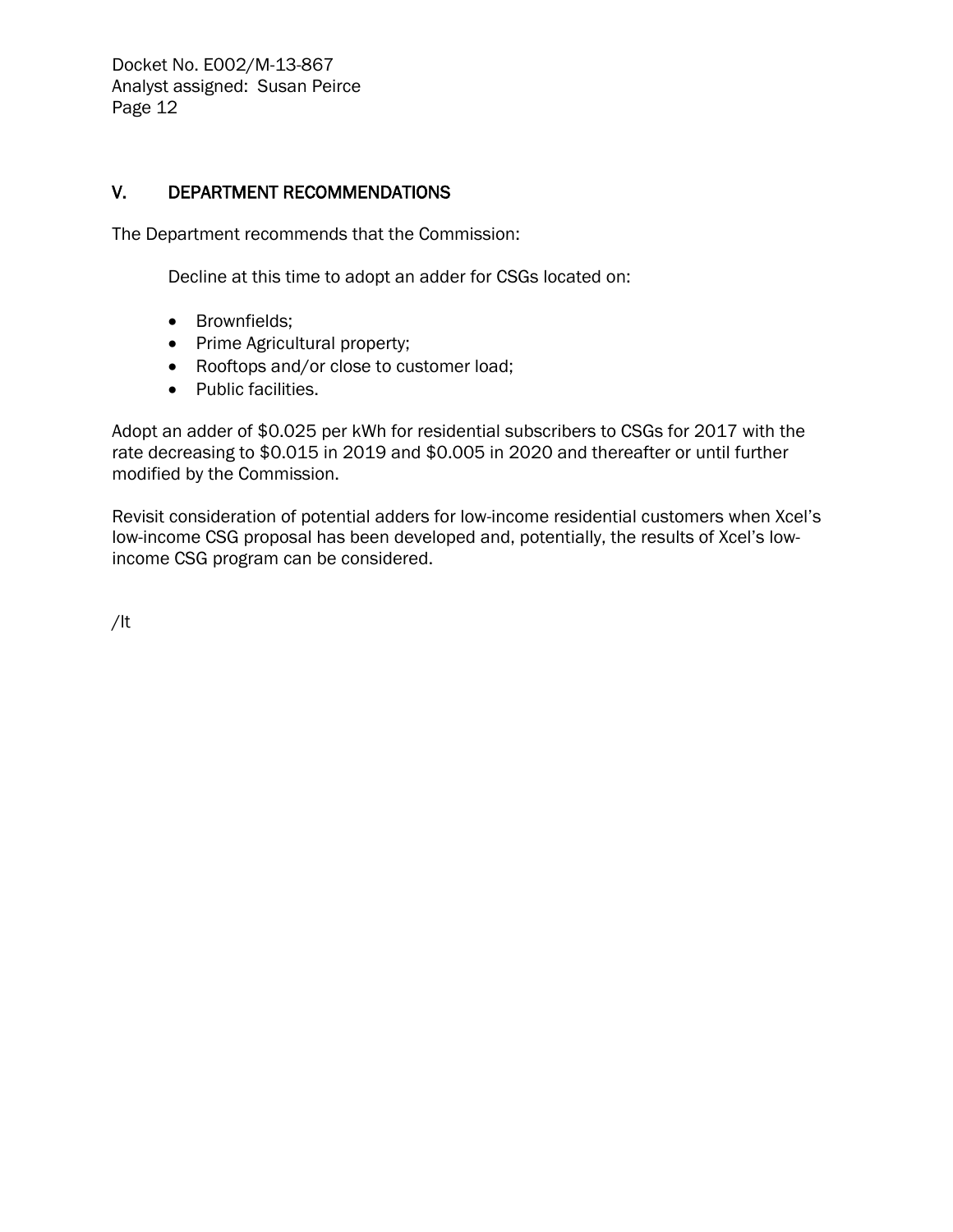#### V. DEPARTMENT RECOMMENDATIONS

The Department recommends that the Commission:

Decline at this time to adopt an adder for CSGs located on:

- Brownfields;
- Prime Agricultural property;
- Rooftops and/or close to customer load;
- Public facilities.

Adopt an adder of \$0.025 per kWh for residential subscribers to CSGs for 2017 with the rate decreasing to \$0.015 in 2019 and \$0.005 in 2020 and thereafter or until further modified by the Commission.

Revisit consideration of potential adders for low-income residential customers when Xcel's low-income CSG proposal has been developed and, potentially, the results of Xcel's lowincome CSG program can be considered.

/lt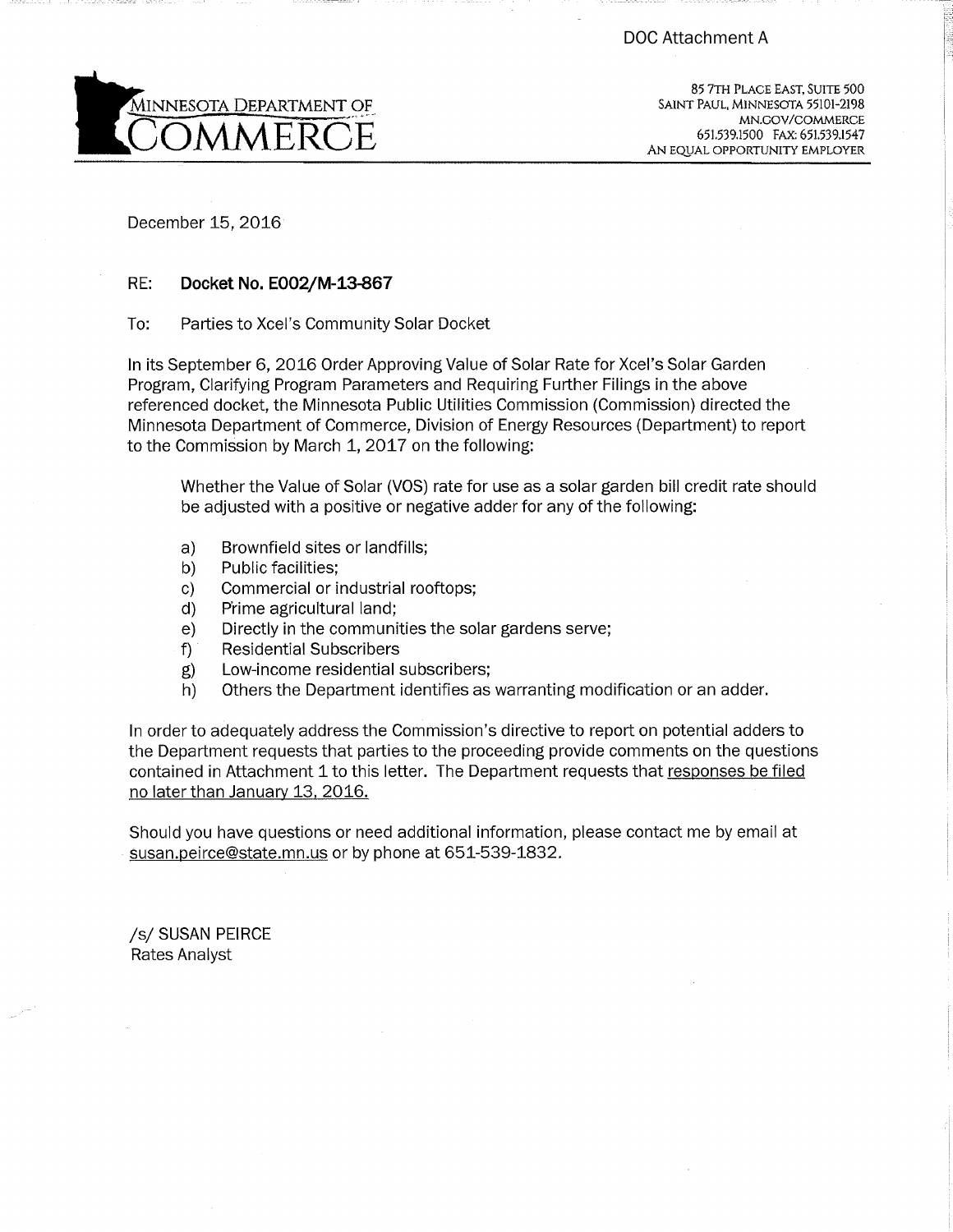

85 7TH PLACE EAST, SUITE 500 SAINT PAUL, MINNESOTA 55101-2198 MN.GOV/COMMERCE 651.539.1500 FAX: 651.539.1547 AN EQUAL OPPORTUNITY EMPLOYER

December 15, 2016

#### RE: Docket No. E002/M-13-867

To: Parties to Xcel's Community Solar Docket

In its September 6, 2016 Order Approving Value of Solar Rate for Xcel's Solar Garden Program, Clarifying Program Parameters and Requiring Further Filings in the above referenced docket, the Minnesota Public Utilities Commission (Commission) directed the Minnesota Department of Commerce, Division of Energy Resources (Department) to report to the Commission by March 1, 2017 on the following:

Whether the Value of Solar (VOS) rate for use as a solar garden bill credit rate should be adjusted with a positive or negative adder for any of the following:

- Brownfield sites or landfills;  $a)$
- Public facilities: b)
- c) Commercial or industrial rooftops;
- Prime agricultural land; d)
- Directly in the communities the solar gardens serve; e)
- $f$ ) **Residential Subscribers**
- Low-income residential subscribers; g)
- Others the Department identifies as warranting modification or an adder. h)

In order to adequately address the Commission's directive to report on potential adders to the Department requests that parties to the proceeding provide comments on the questions contained in Attachment 1 to this letter. The Department requests that responses be filed no later than January 13, 2016.

Should you have questions or need additional information, please contact me by email at susan.peirce@state.mn.us or by phone at 651-539-1832.

/s/ SUSAN PEIRCE Rates Analyst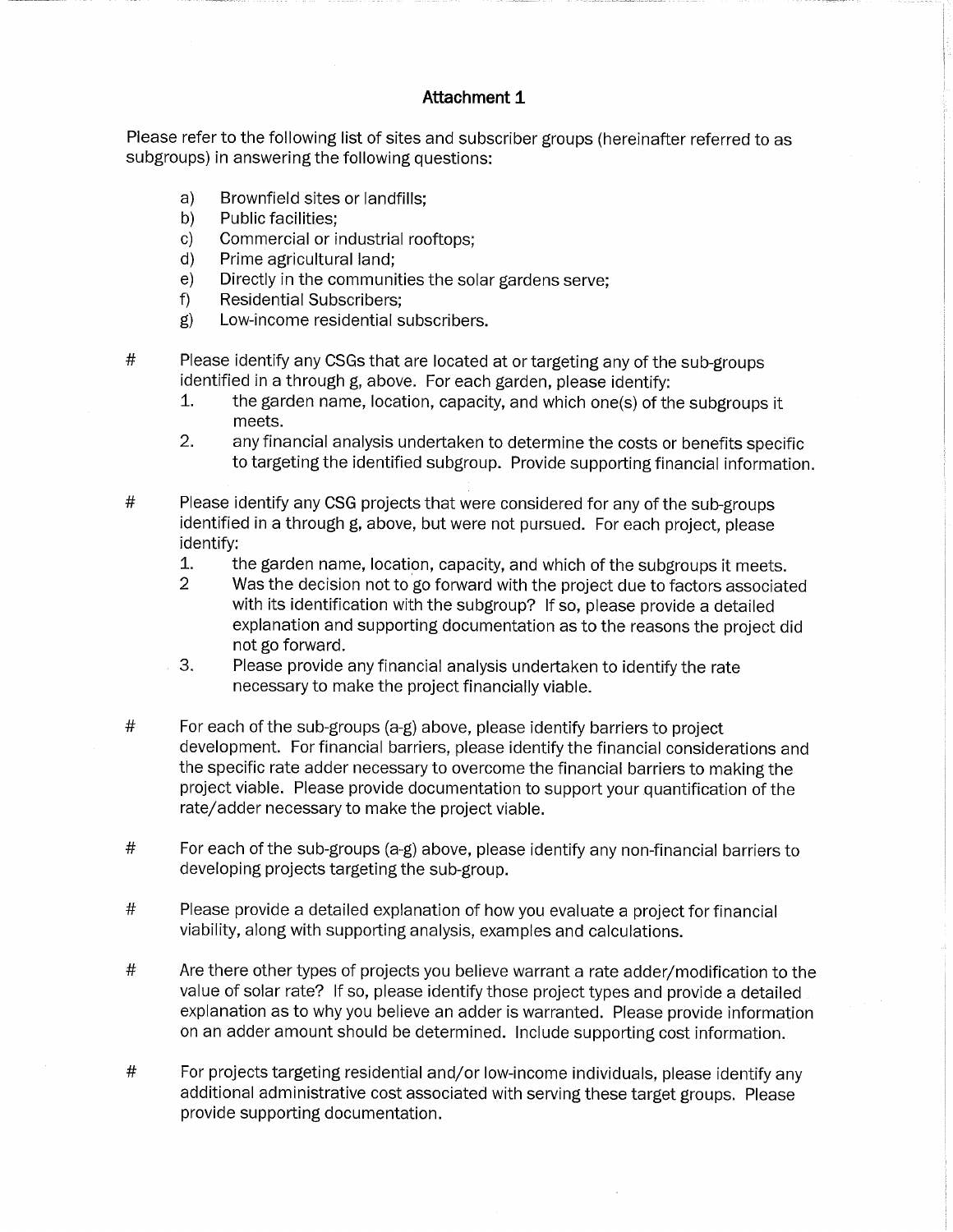#### Attachment 1

Please refer to the following list of sites and subscriber groups (hereinafter referred to as subgroups) in answering the following questions:

- a) Brownfield sites or landfills;
- Public facilities:  $b)$
- Commercial or industrial rooftops; c)
- Prime agricultural land:  $d)$
- Directly in the communities the solar gardens serve:  $e)$
- **Residential Subscribers:**  $f$
- $g)$ Low-income residential subscribers.
- $#$ Please identify any CSGs that are located at or targeting any of the sub-groups identified in a through g, above. For each garden, please identify;
	- the garden name, location, capacity, and which one(s) of the subgroups it 1. meets.
	- $2.$ any financial analysis undertaken to determine the costs or benefits specific to targeting the identified subgroup. Provide supporting financial information.
- $#$ Please identify any CSG projects that were considered for any of the sub-groups identified in a through g, above, but were not pursued. For each project, please identify:
	- $\mathbf{1}$ . the garden name, location, capacity, and which of the subgroups it meets.
	- $\overline{2}$ Was the decision not to go forward with the project due to factors associated with its identification with the subgroup? If so, please provide a detailed explanation and supporting documentation as to the reasons the project did not go forward.
	- 3. Please provide any financial analysis undertaken to identify the rate necessary to make the project financially viable.
- $^{\#}$ For each of the sub-groups (a-g) above, please identify barriers to project development. For financial barriers, please identify the financial considerations and the specific rate adder necessary to overcome the financial barriers to making the project viable. Please provide documentation to support your quantification of the rate/adder necessary to make the project viable.
- $\#$ For each of the sub-groups (a-g) above, please identify any non-financial barriers to developing projects targeting the sub-group.
- $#$ Please provide a detailed explanation of how you evaluate a project for financial viability, along with supporting analysis, examples and calculations.
- $\#$ Are there other types of projects you believe warrant a rate adder/modification to the value of solar rate? If so, please identify those project types and provide a detailed explanation as to why you believe an adder is warranted. Please provide information on an adder amount should be determined. Include supporting cost information.
- $#$ For projects targeting residential and/or low-income individuals, please identify any additional administrative cost associated with serving these target groups. Please provide supporting documentation.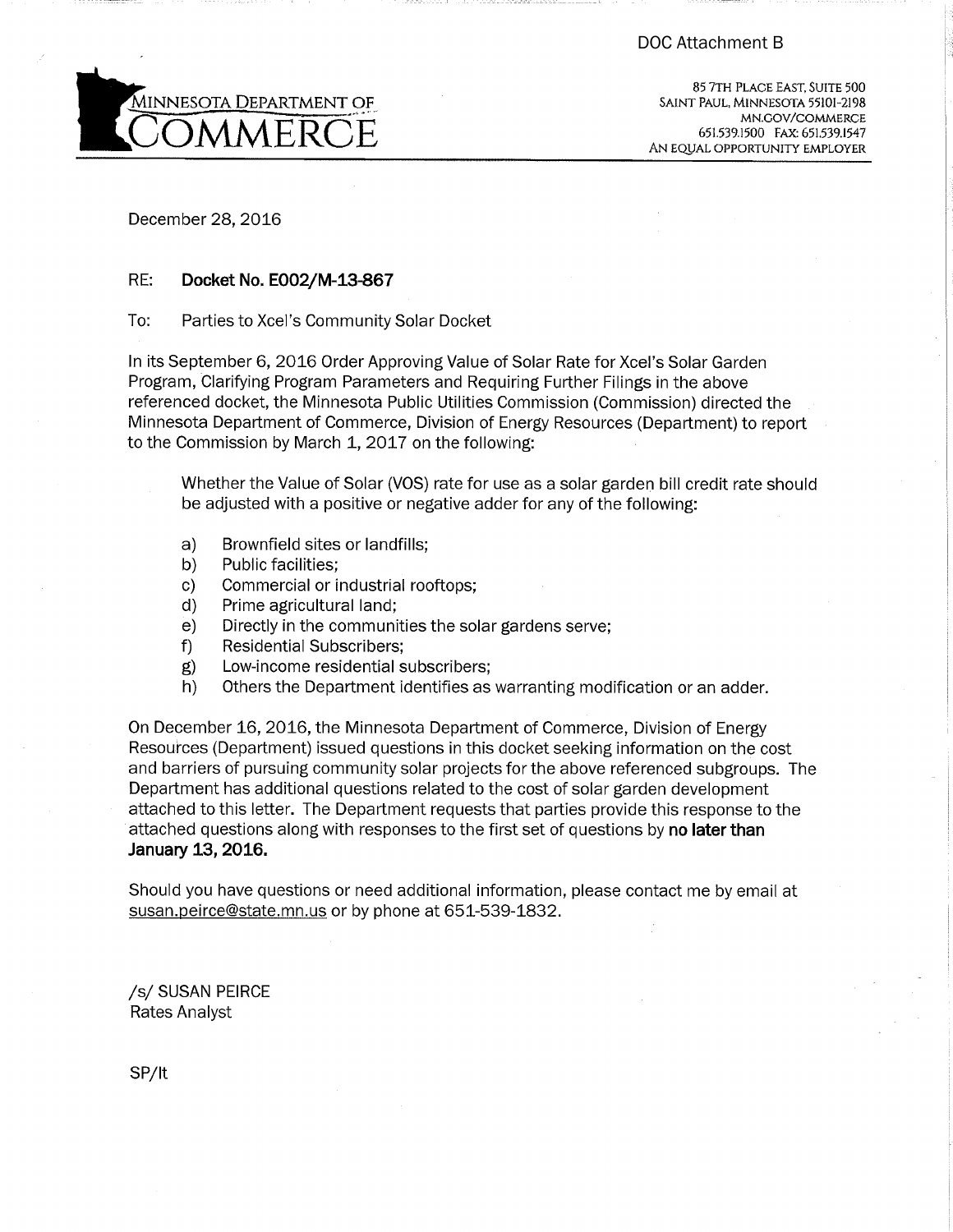

85 7TH PLACE EAST, SUITE 500 SAINT PAUL, MINNESOTA 55101-2198 MN.GOV/COMMERCE 651.539.1500 FAX: 651.539.1547 AN EQUAL OPPORTUNITY EMPLOYER

December 28, 2016

#### RE: Docket No. E002/M-13-867

To: Parties to Xcel's Community Solar Docket

In its September 6, 2016 Order Approving Value of Solar Rate for Xcel's Solar Garden Program, Clarifying Program Parameters and Requiring Further Filings in the above referenced docket, the Minnesota Public Utilities Commission (Commission) directed the Minnesota Department of Commerce, Division of Energy Resources (Department) to report to the Commission by March 1, 2017 on the following:

Whether the Value of Solar (VOS) rate for use as a solar garden bill credit rate should be adjusted with a positive or negative adder for any of the following:

- Brownfield sites or landfills; a)
- Public facilities; b)
- Commercial or industrial rooftops; C)
- Prime agricultural land; d)
- Directly in the communities the solar gardens serve;  $e)$
- **Residential Subscribers:** f)
- Low-income residential subscribers; g)
- $h)$ Others the Department identifies as warranting modification or an adder.

On December 16, 2016, the Minnesota Department of Commerce, Division of Energy Resources (Department) issued questions in this docket seeking information on the cost and barriers of pursuing community solar projects for the above referenced subgroups. The Department has additional questions related to the cost of solar garden development attached to this letter. The Department requests that parties provide this response to the attached questions along with responses to the first set of questions by no later than January 13, 2016.

Should you have questions or need additional information, please contact me by email at susan.peirce@state.mn.us or by phone at 651-539-1832.

/s/ SUSAN PEIRCE **Rates Analyst** 

SP/lt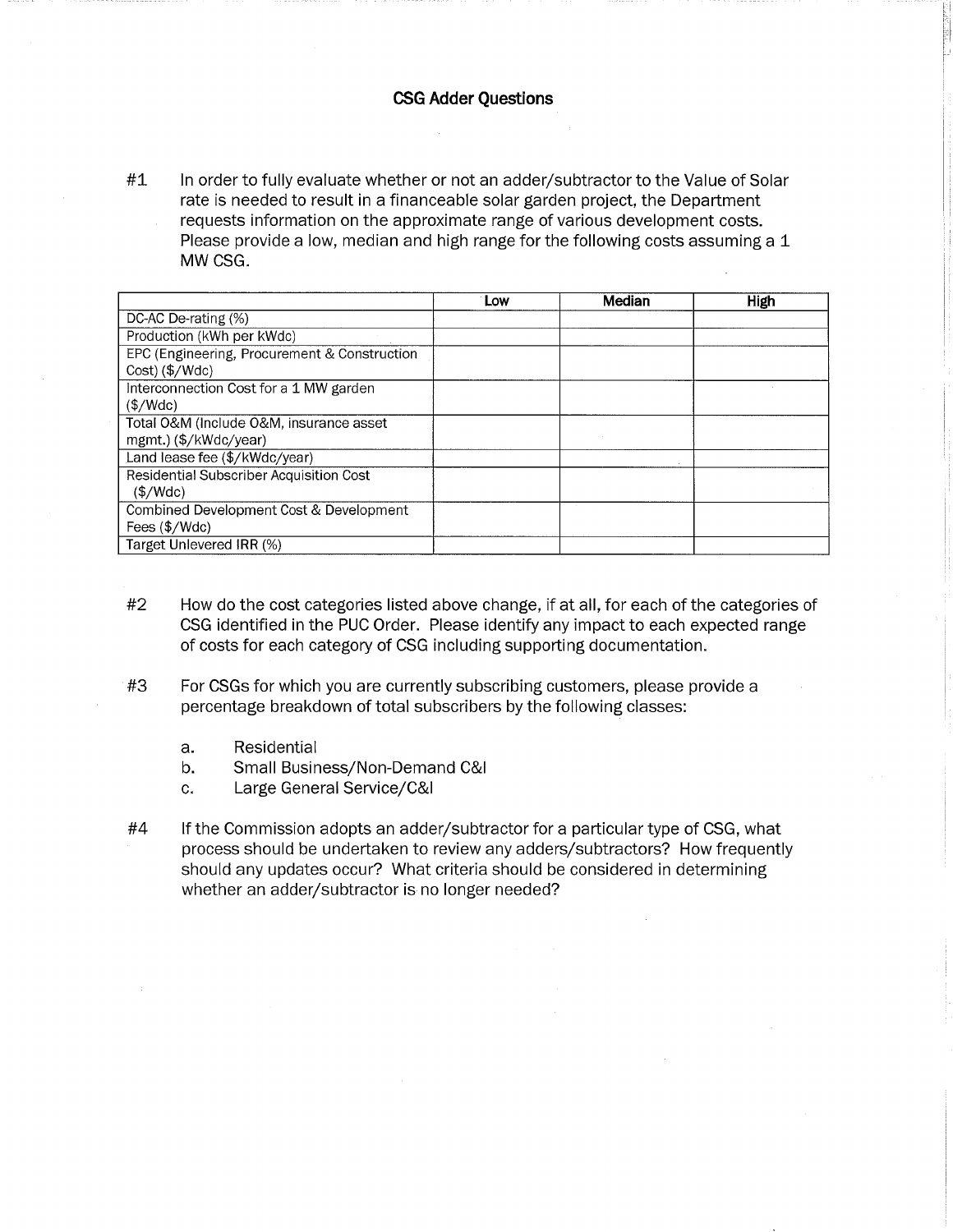#### **CSG Adder Questions**

 $#1$ In order to fully evaluate whether or not an adder/subtractor to the Value of Solar rate is needed to result in a financeable solar garden project, the Department requests information on the approximate range of various development costs. Please provide a low, median and high range for the following costs assuming a 1 MW CSG.

|                                                                | Low | Median | High |
|----------------------------------------------------------------|-----|--------|------|
| DC-AC De-rating (%)                                            |     |        |      |
| Production (kWh per kWdc)                                      |     |        |      |
| EPC (Engineering, Procurement & Construction<br>Cost) (\$/Wdc) |     |        |      |
|                                                                |     |        |      |
| Interconnection Cost for a 1 MW garden                         |     |        |      |
| $(\$/Wdc)$                                                     |     |        |      |
| Total O&M (Include O&M, insurance asset                        |     |        |      |
| mgmt.) (\$/kWdc/year)                                          |     |        |      |
| Land lease fee (\$/kWdc/year)                                  |     |        |      |
| Residential Subscriber Acquisition Cost                        |     |        |      |
| $(\frac{1}{2})Wdc)$                                            |     |        |      |
| Combined Development Cost & Development                        |     |        |      |
| Fees $(\frac{4}{Wdc})$                                         |     |        |      |
| Target Unlevered IRR (%)                                       |     |        |      |

- $#2$ How do the cost categories listed above change, if at all, for each of the categories of CSG identified in the PUC Order. Please identify any impact to each expected range of costs for each category of CSG including supporting documentation.
- $#3$ For CSGs for which you are currently subscribing customers, please provide a percentage breakdown of total subscribers by the following classes:
	- a. Residential
	- Small Business/Non-Demand C&I  $b.$
	- $\mathbf{c}$ . Large General Service/C&I
- $#4$ If the Commission adopts an adder/subtractor for a particular type of CSG, what process should be undertaken to review any adders/subtractors? How frequently should any updates occur? What criteria should be considered in determining whether an adder/subtractor is no longer needed?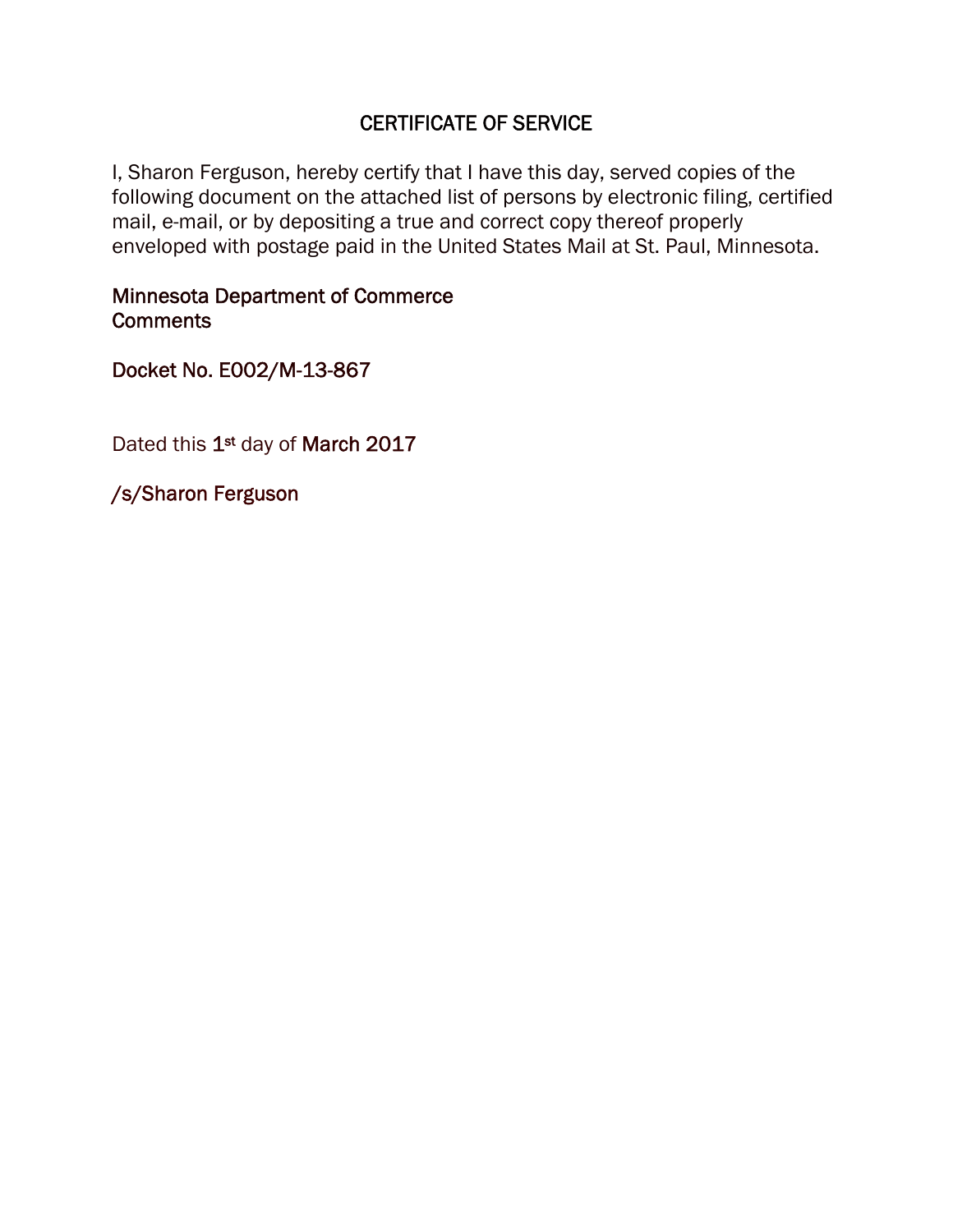# CERTIFICATE OF SERVICE

I, Sharon Ferguson, hereby certify that I have this day, served copies of the following document on the attached list of persons by electronic filing, certified mail, e-mail, or by depositing a true and correct copy thereof properly enveloped with postage paid in the United States Mail at St. Paul, Minnesota.

# Minnesota Department of Commerce **Comments**

Docket No. E002/M-13-867

Dated this 1<sup>st</sup> day of March 2017

/s/Sharon Ferguson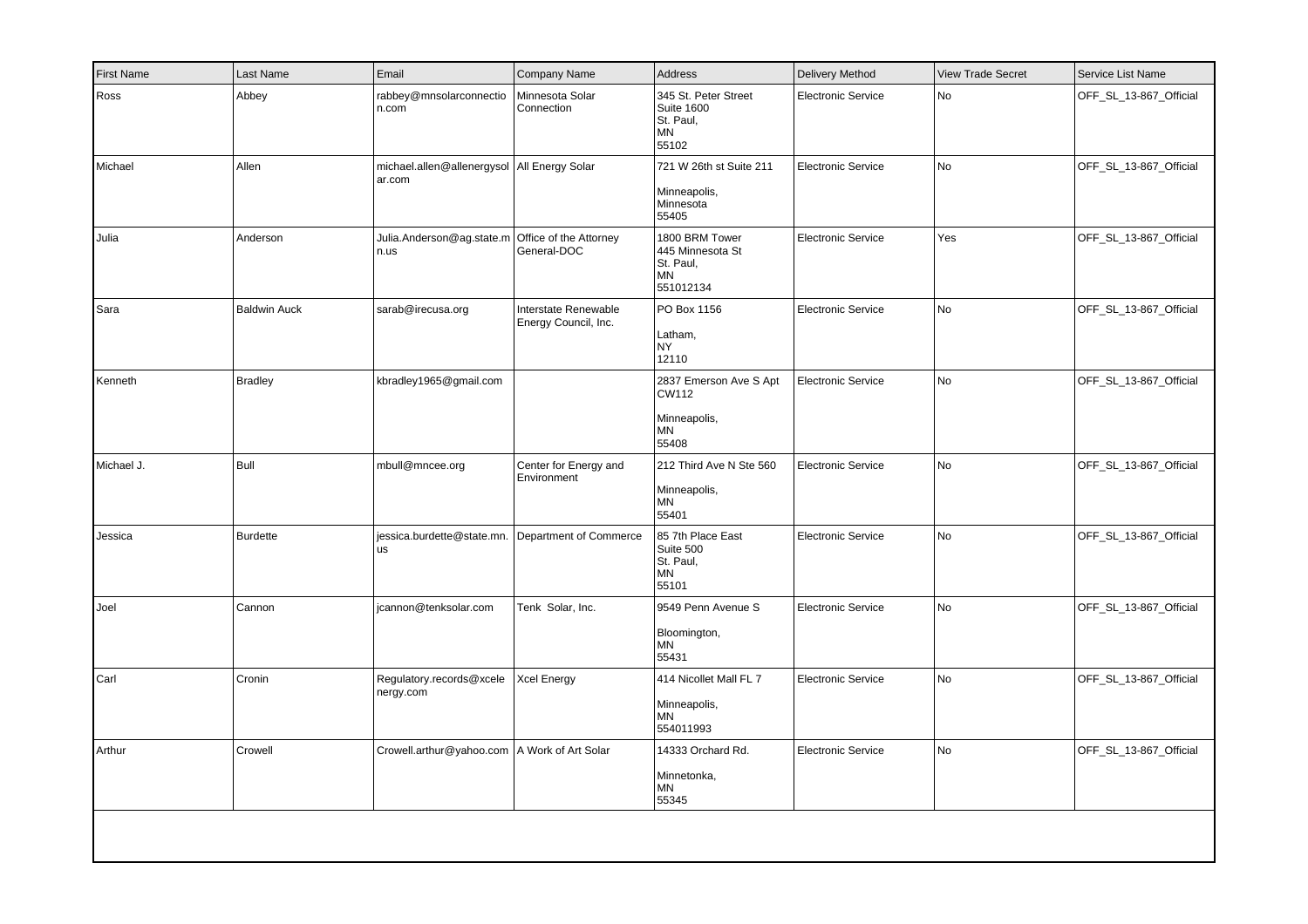| <b>First Name</b> | Last Name           | Email                                                   | Company Name                                 | Address                                                                      | Delivery Method           | <b>View Trade Secret</b> | Service List Name      |
|-------------------|---------------------|---------------------------------------------------------|----------------------------------------------|------------------------------------------------------------------------------|---------------------------|--------------------------|------------------------|
| Ross              | Abbey               | rabbey@mnsolarconnectio<br>n.com                        | Minnesota Solar<br>Connection                | 345 St. Peter Street<br><b>Suite 1600</b><br>St. Paul,<br><b>MN</b><br>55102 | <b>Electronic Service</b> | No                       | OFF_SL_13-867_Official |
| Michael           | Allen               | michael.allen@allenergysol   All Energy Solar<br>ar.com |                                              | 721 W 26th st Suite 211<br>Minneapolis,<br>Minnesota<br>55405                | <b>Electronic Service</b> | No                       | OFF_SL_13-867_Official |
| Julia             | Anderson            | Julia.Anderson@ag.state.m<br>n.us                       | Office of the Attorney<br>General-DOC        | 1800 BRM Tower<br>445 Minnesota St<br>St. Paul,<br><b>MN</b><br>551012134    | <b>Electronic Service</b> | Yes                      | OFF_SL_13-867_Official |
| Sara              | <b>Baldwin Auck</b> | sarab@irecusa.org                                       | Interstate Renewable<br>Energy Council, Inc. | PO Box 1156<br>Latham,<br><b>NY</b><br>12110                                 | <b>Electronic Service</b> | <b>No</b>                | OFF_SL_13-867_Official |
| Kenneth           | <b>Bradley</b>      | kbradley1965@gmail.com                                  |                                              | 2837 Emerson Ave S Apt<br>CW112<br>Minneapolis,<br>MN<br>55408               | Electronic Service        | No                       | OFF_SL_13-867_Official |
| Michael J.        | Bull                | mbull@mncee.org                                         | Center for Energy and<br>Environment         | 212 Third Ave N Ste 560<br>Minneapolis,<br>MN<br>55401                       | <b>Electronic Service</b> | No                       | OFF_SL_13-867_Official |
| Jessica           | <b>Burdette</b>     | jessica.burdette@state.mn.<br>lus.                      | Department of Commerce                       | 85 7th Place East<br>Suite 500<br>St. Paul,<br><b>MN</b><br>55101            | <b>Electronic Service</b> | No                       | OFF_SL_13-867_Official |
| Joel              | Cannon              | icannon@tenksolar.com                                   | Tenk Solar, Inc.                             | 9549 Penn Avenue S<br>Bloomington,<br><b>MN</b><br>55431                     | <b>Electronic Service</b> | No                       | OFF_SL_13-867_Official |
| Carl              | Cronin              | Regulatory.records@xcele<br>nergy.com                   | <b>Xcel Energy</b>                           | 414 Nicollet Mall FL 7<br>Minneapolis,<br><b>MN</b><br>554011993             | <b>Electronic Service</b> | No                       | OFF_SL_13-867_Official |
| Arthur            | Crowell             | Crowell.arthur@yahoo.com   A Work of Art Solar          |                                              | 14333 Orchard Rd.<br>Minnetonka,<br><b>MN</b><br>55345                       | <b>Electronic Service</b> | No                       | OFF_SL_13-867_Official |
|                   |                     |                                                         |                                              |                                                                              |                           |                          |                        |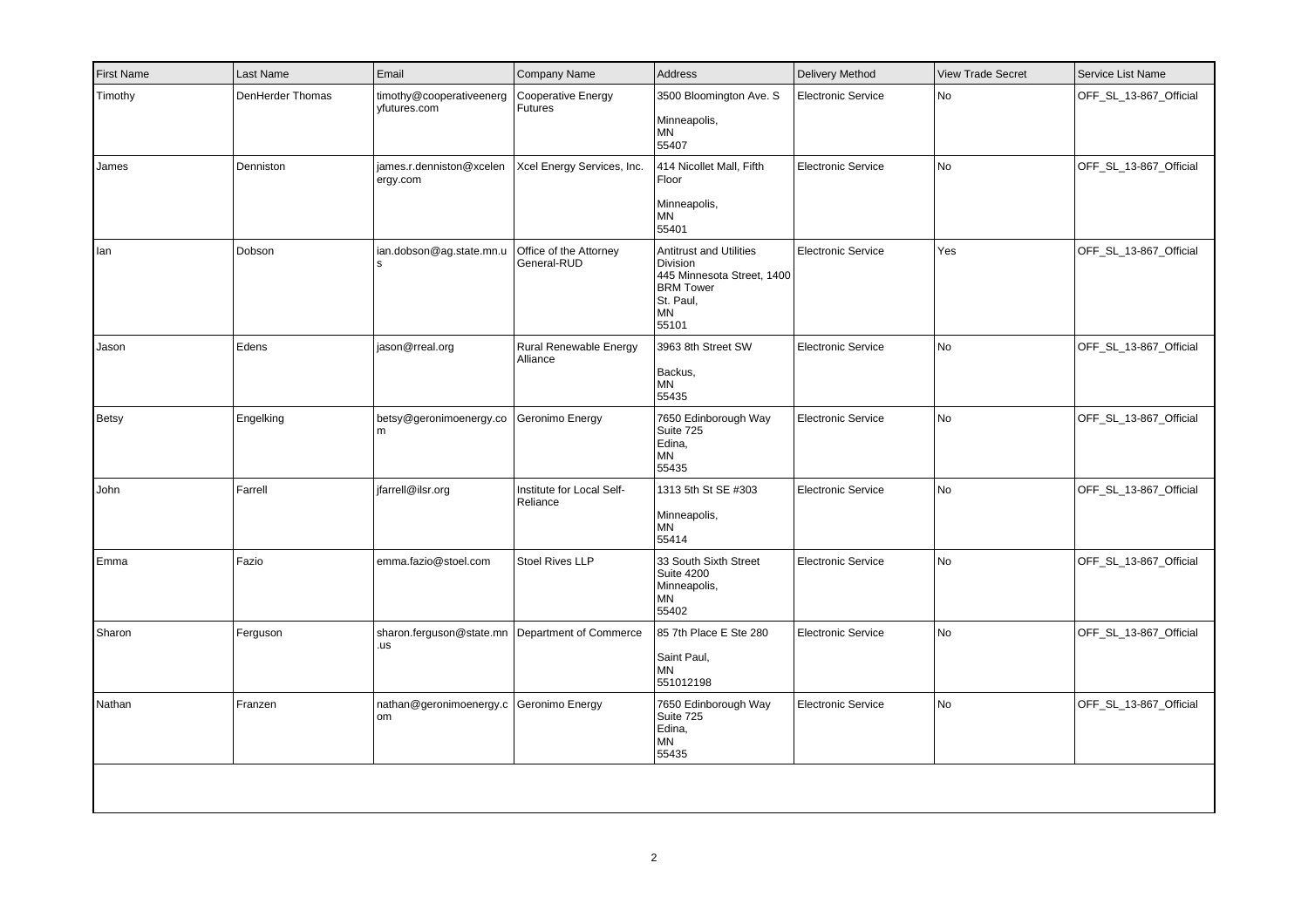| <b>First Name</b> | Last Name        | Email                                                  | Company Name                          | Address                                                                                                                         | <b>Delivery Method</b>    | <b>View Trade Secret</b> | Service List Name      |
|-------------------|------------------|--------------------------------------------------------|---------------------------------------|---------------------------------------------------------------------------------------------------------------------------------|---------------------------|--------------------------|------------------------|
| Timothy           | DenHerder Thomas | timothy@cooperativeenerg<br>yfutures.com               | Cooperative Energy<br>Futures         | 3500 Bloomington Ave. S<br>Minneapolis,<br>MN<br>55407                                                                          | <b>Electronic Service</b> | N <sub>o</sub>           | OFF SL 13-867 Official |
| James             | Denniston        | james.r.denniston@xcelen<br>ergy.com                   | Xcel Energy Services, Inc.            | 414 Nicollet Mall, Fifth<br>Floor<br>Minneapolis,<br><b>MN</b><br>55401                                                         | <b>Electronic Service</b> | <b>No</b>                | OFF_SL_13-867_Official |
| lan               | Dobson           | ian.dobson@ag.state.mn.u<br>l s                        | Office of the Attorney<br>General-RUD | <b>Antitrust and Utilities</b><br>Division<br>445 Minnesota Street, 1400<br><b>BRM Tower</b><br>St. Paul,<br><b>MN</b><br>55101 | <b>Electronic Service</b> | Yes                      | OFF_SL_13-867_Official |
| Jason             | Edens            | jason@rreal.org                                        | Rural Renewable Energy<br>Alliance    | 3963 8th Street SW<br>Backus,<br><b>MN</b><br>55435                                                                             | <b>Electronic Service</b> | <b>No</b>                | OFF_SL_13-867_Official |
| Betsy             | Engelking        | betsy@geronimoenergy.co<br>m                           | Geronimo Energy                       | 7650 Edinborough Way<br>Suite 725<br>Edina,<br><b>MN</b><br>55435                                                               | <b>Electronic Service</b> | <b>No</b>                | OFF_SL_13-867_Official |
| John              | Farrell          | jfarrell@ilsr.org                                      | Institute for Local Self-<br>Reliance | 1313 5th St SE #303<br>Minneapolis,<br><b>MN</b><br>55414                                                                       | <b>Electronic Service</b> | No                       | OFF_SL_13-867_Official |
| Emma              | Fazio            | emma.fazio@stoel.com                                   | <b>Stoel Rives LLP</b>                | 33 South Sixth Street<br><b>Suite 4200</b><br>Minneapolis,<br>MN<br>55402                                                       | <b>Electronic Service</b> | No                       | OFF SL 13-867 Official |
| Sharon            | Ferguson         | sharon.ferguson@state.mn Department of Commerce<br>.us |                                       | 85 7th Place E Ste 280<br>Saint Paul,<br>MN<br>551012198                                                                        | <b>Electronic Service</b> | N <sub>o</sub>           | OFF_SL_13-867_Official |
| Nathan            | Franzen          | nathan@geronimoenergy.c Geronimo Energy<br>om          |                                       | 7650 Edinborough Way<br>Suite 725<br>Edina,<br><b>MN</b><br>55435                                                               | <b>Electronic Service</b> | <b>No</b>                | OFF_SL_13-867_Official |
|                   |                  |                                                        |                                       |                                                                                                                                 |                           |                          |                        |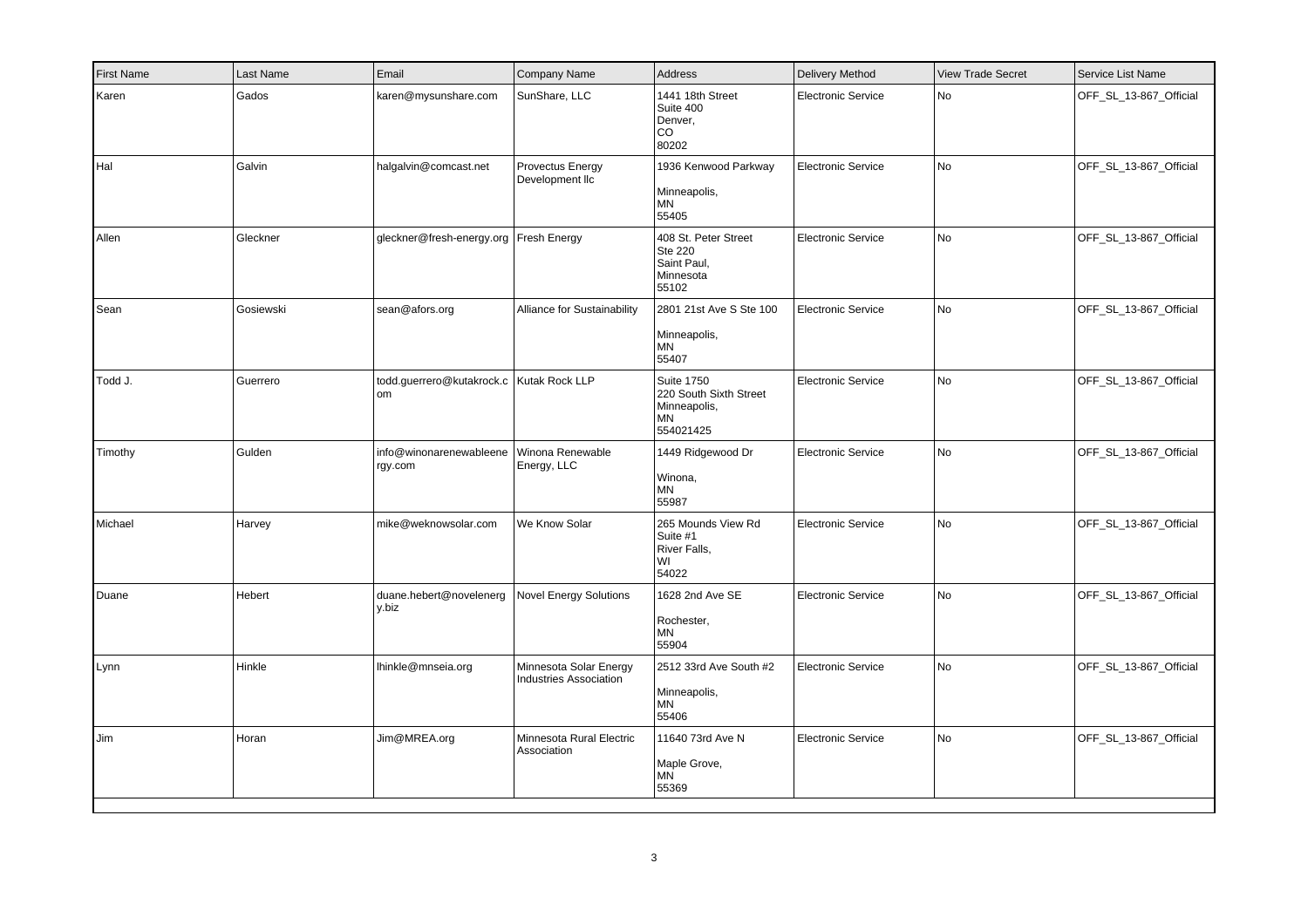| <b>First Name</b> | Last Name | Email                                             | Company Name                                            | Address                                                                        | Delivery Method           | <b>View Trade Secret</b> | Service List Name      |
|-------------------|-----------|---------------------------------------------------|---------------------------------------------------------|--------------------------------------------------------------------------------|---------------------------|--------------------------|------------------------|
| Karen             | Gados     | karen@mysunshare.com                              | SunShare, LLC                                           | 1441 18th Street<br>Suite 400<br>Denver,<br>$_{\rm CO}$<br>80202               | <b>Electronic Service</b> | <b>No</b>                | OFF_SL_13-867_Official |
| Hal               | Galvin    | halgalvin@comcast.net                             | Provectus Energy<br>Development IIc                     | 1936 Kenwood Parkway<br>Minneapolis,<br>ΜN<br>55405                            | <b>Electronic Service</b> | No                       | OFF_SL_13-867_Official |
| Allen             | Gleckner  | gleckner@fresh-energy.org   Fresh Energy          |                                                         | 408 St. Peter Street<br>Ste 220<br>Saint Paul,<br>Minnesota<br>55102           | Electronic Service        | No                       | OFF_SL_13-867_Official |
| Sean              | Gosiewski | sean@afors.org                                    | Alliance for Sustainability                             | 2801 21st Ave S Ste 100<br>Minneapolis,<br>MN<br>55407                         | <b>Electronic Service</b> | No                       | OFF_SL_13-867_Official |
| Todd J.           | Guerrero  | todd.guerrero@kutakrock.c   Kutak Rock LLP<br>lom |                                                         | <b>Suite 1750</b><br>220 South Sixth Street<br>Minneapolis,<br>MN<br>554021425 | <b>Electronic Service</b> | <b>No</b>                | OFF_SL_13-867_Official |
| Timothy           | Gulden    | info@winonarenewableene<br>rgy.com                | Winona Renewable<br>Energy, LLC                         | 1449 Ridgewood Dr<br>Winona,<br>MN<br>55987                                    | <b>Electronic Service</b> | No                       | OFF_SL_13-867_Official |
| Michael           | Harvey    | mike@weknowsolar.com                              | We Know Solar                                           | 265 Mounds View Rd<br>Suite #1<br>River Falls,<br>WI<br>54022                  | <b>Electronic Service</b> | No                       | OFF_SL_13-867_Official |
| Duane             | Hebert    | duane.hebert@novelenerg<br>l v.biz                | <b>Novel Energy Solutions</b>                           | 1628 2nd Ave SE<br>Rochester,<br>MN<br>55904                                   | <b>Electronic Service</b> | No                       | OFF_SL_13-867_Official |
| Lynn              | Hinkle    | Ihinkle@mnseia.org                                | Minnesota Solar Energy<br><b>Industries Association</b> | 2512 33rd Ave South #2<br>Minneapolis,<br>ΜN<br>55406                          | <b>Electronic Service</b> | No                       | OFF_SL_13-867_Official |
| Jim               | Horan     | Jim@MREA.org                                      | Minnesota Rural Electric<br>Association                 | 11640 73rd Ave N<br>Maple Grove,<br><b>MN</b><br>55369                         | <b>Electronic Service</b> | No                       | OFF_SL_13-867_Official |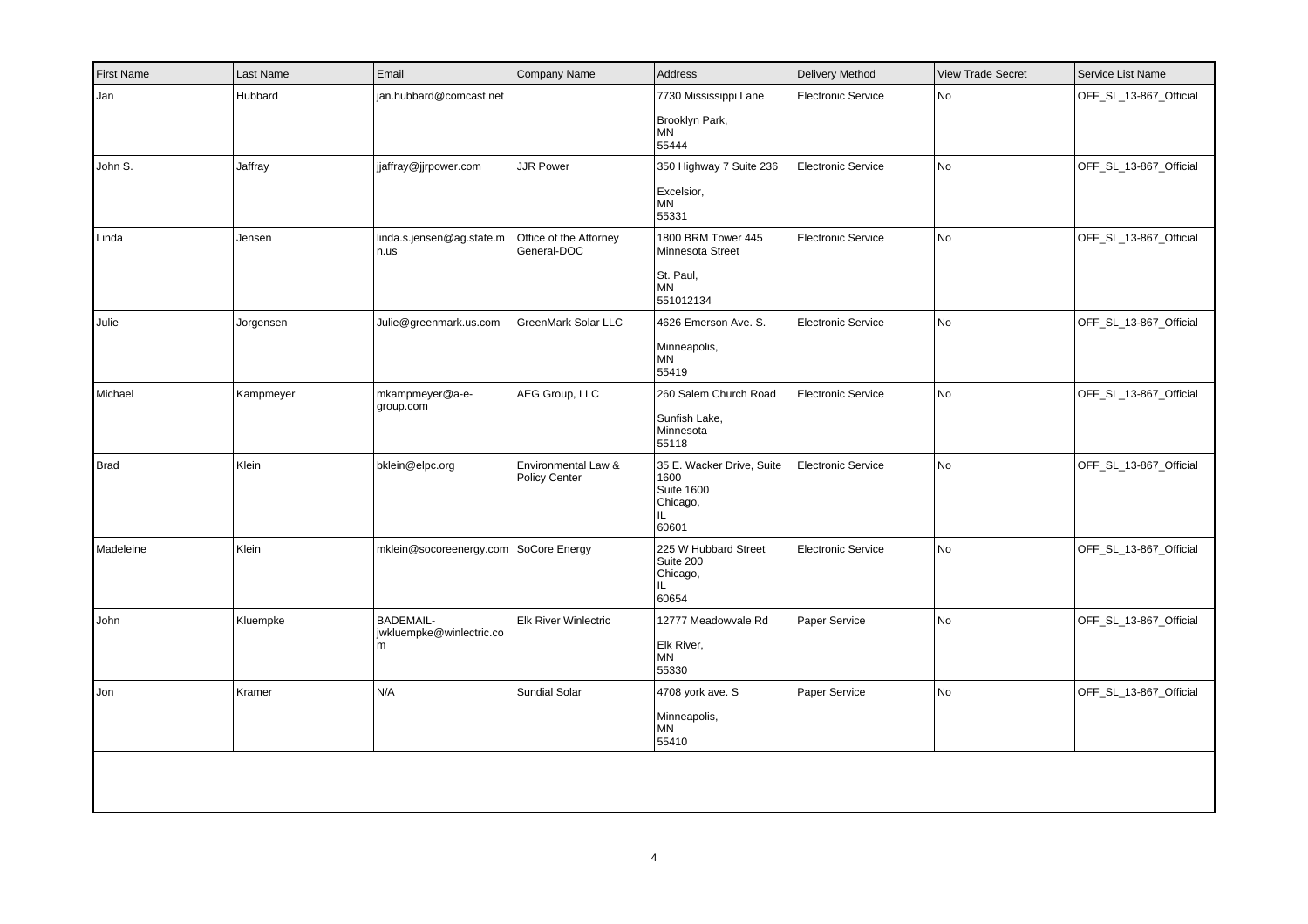| <b>First Name</b> | Last Name | Email                                             | Company Name                          | Address                                                                            | <b>Delivery Method</b>    | <b>View Trade Secret</b> | Service List Name      |
|-------------------|-----------|---------------------------------------------------|---------------------------------------|------------------------------------------------------------------------------------|---------------------------|--------------------------|------------------------|
| Jan               | Hubbard   | jan.hubbard@comcast.net                           |                                       | 7730 Mississippi Lane<br>Brooklyn Park,<br><b>MN</b><br>55444                      | <b>Electronic Service</b> | No                       | OFF_SL_13-867_Official |
| John S.           | Jaffray   | jjaffray@jjrpower.com                             | <b>JJR Power</b>                      | 350 Highway 7 Suite 236<br>Excelsior,<br><b>MN</b><br>55331                        | <b>Electronic Service</b> | No                       | OFF_SL_13-867_Official |
| Linda             | Jensen    | linda.s.jensen@ag.state.m<br>n.us                 | Office of the Attorney<br>General-DOC | 1800 BRM Tower 445<br>Minnesota Street<br>St. Paul,<br><b>MN</b><br>551012134      | <b>Electronic Service</b> | No                       | OFF_SL_13-867_Official |
| Julie             | Jorgensen | Julie@greenmark.us.com                            | GreenMark Solar LLC                   | 4626 Emerson Ave. S.<br>Minneapolis,<br><b>MN</b><br>55419                         | <b>Electronic Service</b> | <b>No</b>                | OFF_SL_13-867_Official |
| Michael           | Kampmeyer | mkampmeyer@a-e-<br>group.com                      | AEG Group, LLC                        | 260 Salem Church Road<br>Sunfish Lake,<br>Minnesota<br>55118                       | <b>Electronic Service</b> | <b>No</b>                | OFF_SL_13-867_Official |
| Brad              | Klein     | bklein@elpc.org                                   | Environmental Law &<br>Policy Center  | 35 E. Wacker Drive, Suite<br>1600<br><b>Suite 1600</b><br>Chicago,<br>IL.<br>60601 | Electronic Service        | <b>No</b>                | OFF SL 13-867 Official |
| Madeleine         | Klein     | mklein@socoreenergy.com SoCore Energy             |                                       | 225 W Hubbard Street<br>Suite 200<br>Chicago,<br>IL.<br>60654                      | <b>Electronic Service</b> | <b>No</b>                | OFF_SL_13-867_Official |
| John              | Kluempke  | <b>BADEMAIL-</b><br>jwkluempke@winlectric.co<br>m | <b>Elk River Winlectric</b>           | 12777 Meadowvale Rd<br>Elk River,<br><b>MN</b><br>55330                            | Paper Service             | No                       | OFF_SL_13-867_Official |
| Jon               | Kramer    | N/A                                               | Sundial Solar                         | 4708 york ave. S<br>Minneapolis,<br>MN<br>55410                                    | Paper Service             | No                       | OFF_SL_13-867_Official |
|                   |           |                                                   |                                       |                                                                                    |                           |                          |                        |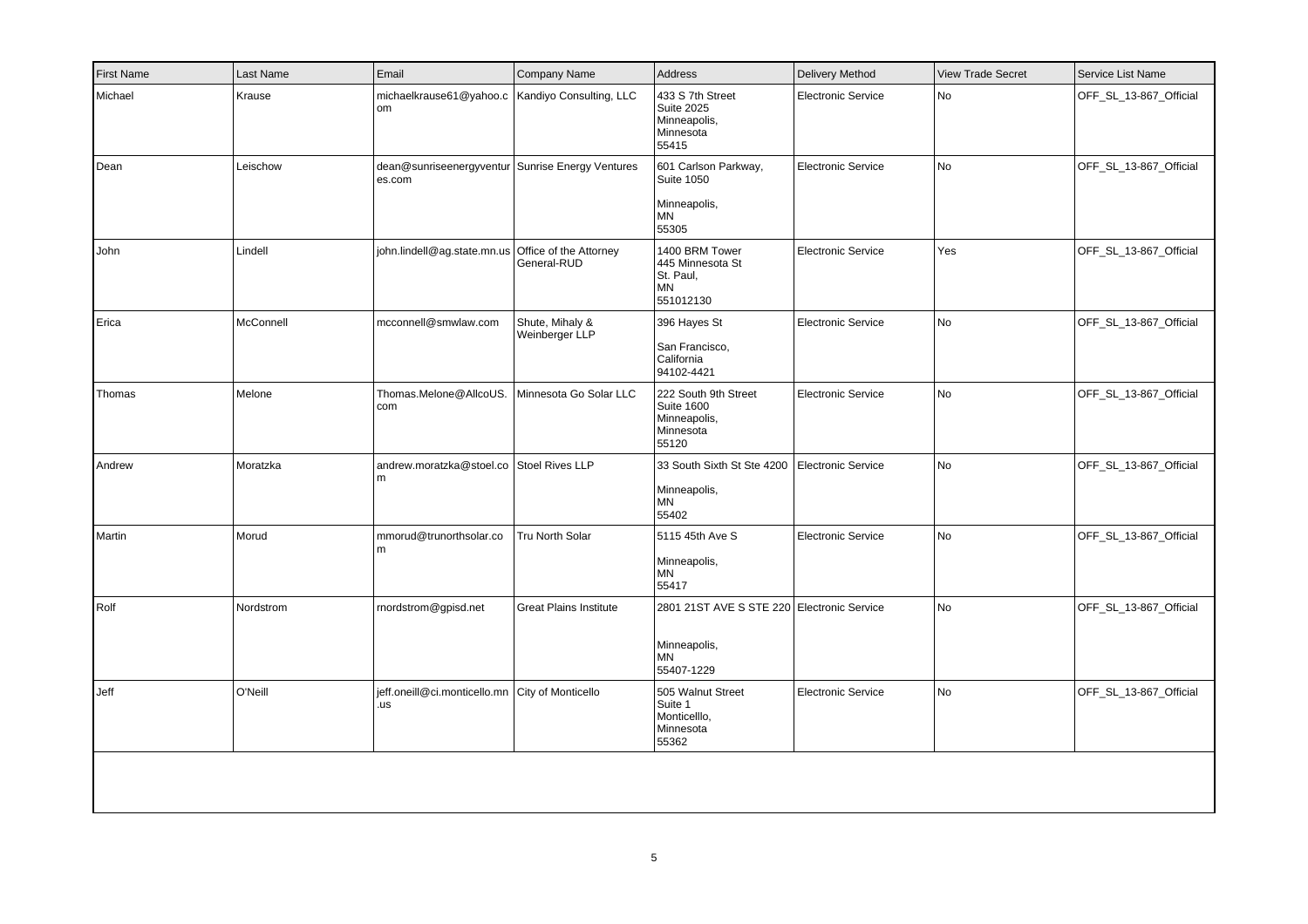| <b>First Name</b> | Last Name | Email                                                      | Company Name                      | Address                                                                               | <b>Delivery Method</b>    | <b>View Trade Secret</b> | Service List Name      |
|-------------------|-----------|------------------------------------------------------------|-----------------------------------|---------------------------------------------------------------------------------------|---------------------------|--------------------------|------------------------|
| Michael           | Krause    | michaelkrause61@yahoo.c   Kandiyo Consulting, LLC<br> om   |                                   | 433 S 7th Street<br><b>Suite 2025</b><br>Minneapolis,<br>Minnesota<br>55415           | <b>Electronic Service</b> | No                       | OFF_SL_13-867_Official |
| Dean              | Leischow  | dean@sunriseenergyventur Sunrise Energy Ventures<br>es.com |                                   | 601 Carlson Parkway,<br><b>Suite 1050</b><br>Minneapolis,<br>MN<br>55305              | <b>Electronic Service</b> | No                       | OFF SL 13-867 Official |
| John              | Lindell   | john.lindell@ag.state.mn.us Office of the Attorney         | General-RUD                       | 1400 BRM Tower<br>445 Minnesota St<br>St. Paul,<br><b>MN</b><br>551012130             | <b>Electronic Service</b> | Yes                      | OFF_SL_13-867_Official |
| Erica             | McConnell | mcconnell@smwlaw.com                                       | Shute, Mihaly &<br>Weinberger LLP | 396 Hayes St<br>San Francisco,<br>California<br>94102-4421                            | <b>Electronic Service</b> | No                       | OFF_SL_13-867_Official |
| Thomas            | Melone    | Thomas.Melone@AllcoUS.<br>  com                            | Minnesota Go Solar LLC            | 222 South 9th Street<br><b>Suite 1600</b><br>Minneapolis,<br>Minnesota<br>55120       | <b>Electronic Service</b> | No                       | OFF_SL_13-867_Official |
| Andrew            | Moratzka  | andrew.moratzka@stoel.co Stoel Rives LLP<br>l m            |                                   | 33 South Sixth St Ste 4200<br>Minneapolis,<br>ΜN<br>55402                             | <b>Electronic Service</b> | No                       | OFF_SL_13-867_Official |
| Martin            | Morud     | mmorud@trunorthsolar.co<br>l m                             | Tru North Solar                   | 5115 45th Ave S<br>Minneapolis,<br><b>MN</b><br>55417                                 | <b>Electronic Service</b> | No                       | OFF_SL_13-867_Official |
| Rolf              | Nordstrom | rnordstrom@gpisd.net                                       | <b>Great Plains Institute</b>     | 2801 21ST AVE S STE 220 Electronic Service<br>Minneapolis,<br><b>MN</b><br>55407-1229 |                           | No                       | OFF_SL_13-867_Official |
| Jeff              | O'Neill   | jeff.oneill@ci.monticello.mn City of Monticello<br>.us     |                                   | 505 Walnut Street<br>Suite 1<br>Monticelllo,<br>Minnesota<br>55362                    | <b>Electronic Service</b> | No                       | OFF_SL_13-867_Official |
|                   |           |                                                            |                                   |                                                                                       |                           |                          |                        |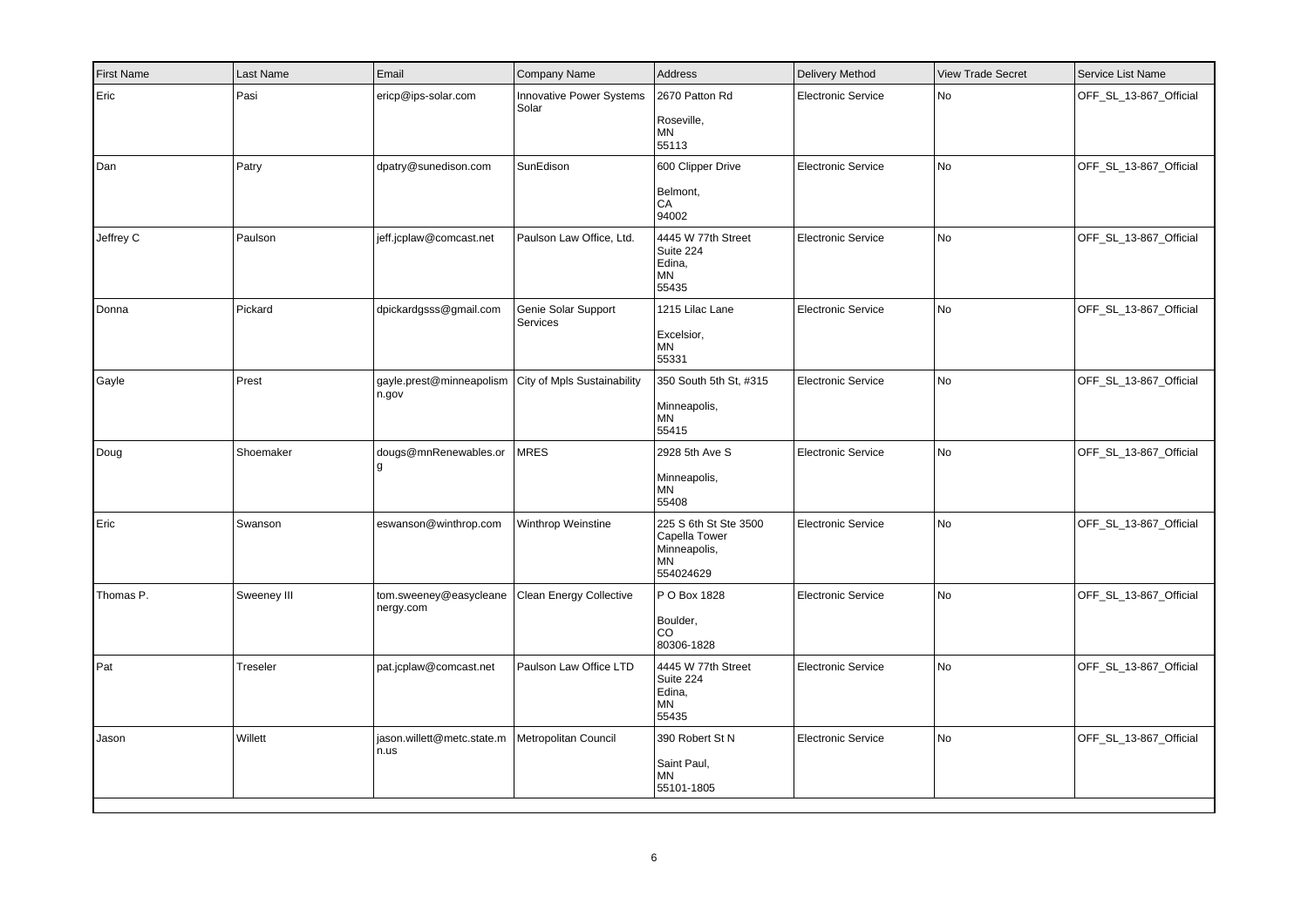| <b>First Name</b> | Last Name   | Email                               | Company Name                      | Address                                                                   | Delivery Method           | <b>View Trade Secret</b> | Service List Name      |
|-------------------|-------------|-------------------------------------|-----------------------------------|---------------------------------------------------------------------------|---------------------------|--------------------------|------------------------|
| Eric              | Pasi        | ericp@ips-solar.com                 | Innovative Power Systems<br>Solar | 2670 Patton Rd<br>Roseville,<br>ΜN<br>55113                               | <b>Electronic Service</b> | <b>No</b>                | OFF_SL_13-867_Official |
| Dan               | Patry       | dpatry@sunedison.com                | SunEdison                         | 600 Clipper Drive<br>Belmont,<br>CA<br>94002                              | <b>Electronic Service</b> | No                       | OFF_SL_13-867_Official |
| Jeffrey C         | Paulson     | jeff.jcplaw@comcast.net             | Paulson Law Office, Ltd.          | 4445 W 77th Street<br>Suite 224<br>Edina,<br>ΜN<br>55435                  | <b>Electronic Service</b> | No                       | OFF_SL_13-867_Official |
| Donna             | Pickard     | dpickardgsss@gmail.com              | Genie Solar Support<br>Services   | 1215 Lilac Lane<br>Excelsior,<br>MN<br>55331                              | <b>Electronic Service</b> | No                       | OFF_SL_13-867_Official |
| Gayle             | Prest       | gayle.prest@minneapolism<br>n.gov   | City of Mpls Sustainability       | 350 South 5th St, #315<br>Minneapolis,<br>ΜN<br>55415                     | <b>Electronic Service</b> | <b>No</b>                | OFF_SL_13-867_Official |
| Doug              | Shoemaker   | dougs@mnRenewables.or               | <b>MRES</b>                       | 2928 5th Ave S<br>Minneapolis,<br>MN<br>55408                             | <b>Electronic Service</b> | No                       | OFF_SL_13-867_Official |
| Eric              | Swanson     | eswanson@winthrop.com               | Winthrop Weinstine                | 225 S 6th St Ste 3500<br>Capella Tower<br>Minneapolis,<br>ΜN<br>554024629 | <b>Electronic Service</b> | <b>No</b>                | OFF_SL_13-867_Official |
| Thomas P.         | Sweeney III | tom.sweeney@easycleane<br>nergy.com | <b>Clean Energy Collective</b>    | P O Box 1828<br>Boulder,<br><b>CO</b><br>80306-1828                       | <b>Electronic Service</b> | No                       | OFF_SL_13-867_Official |
| Pat               | Treseler    | pat.jcplaw@comcast.net              | Paulson Law Office LTD            | 4445 W 77th Street<br>Suite 224<br>Edina,<br>ΜN<br>55435                  | <b>Electronic Service</b> | No                       | OFF_SL_13-867_Official |
| Jason             | Willett     | jason.willett@metc.state.m<br>n.us  | Metropolitan Council              | 390 Robert St N<br>Saint Paul,<br><b>MN</b><br>55101-1805                 | <b>Electronic Service</b> | No                       | OFF_SL_13-867_Official |